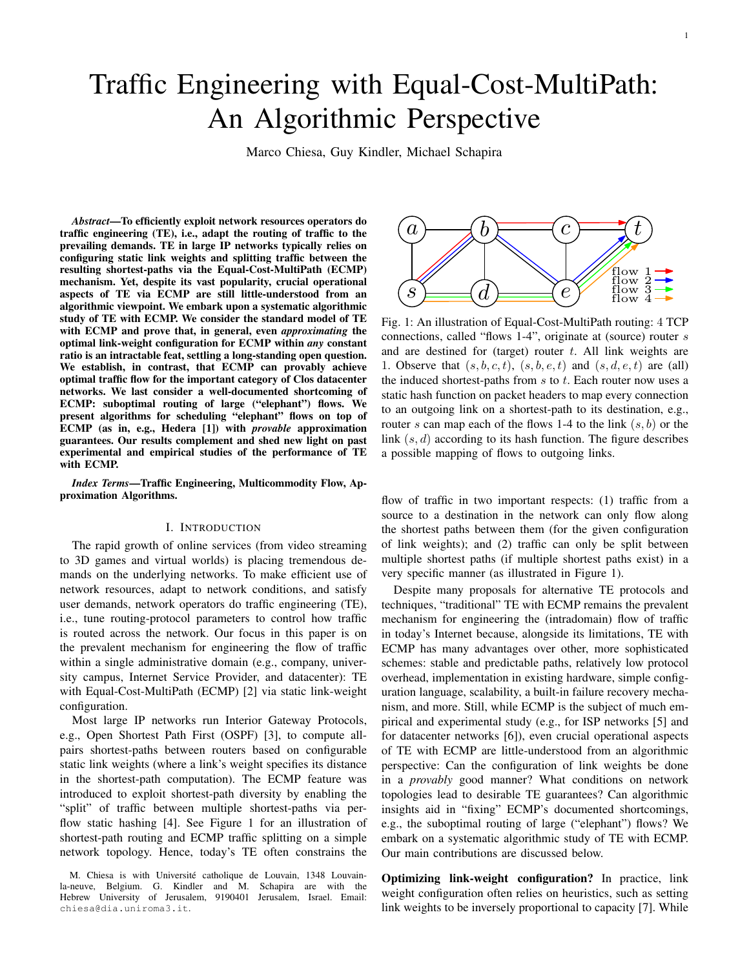# Traffic Engineering with Equal-Cost-MultiPath: An Algorithmic Perspective

Marco Chiesa, Guy Kindler, Michael Schapira

*Abstract*—To efficiently exploit network resources operators do traffic engineering (TE), i.e., adapt the routing of traffic to the prevailing demands. TE in large IP networks typically relies on configuring static link weights and splitting traffic between the resulting shortest-paths via the Equal-Cost-MultiPath (ECMP) mechanism. Yet, despite its vast popularity, crucial operational aspects of TE via ECMP are still little-understood from an algorithmic viewpoint. We embark upon a systematic algorithmic study of TE with ECMP. We consider the standard model of TE with ECMP and prove that, in general, even *approximating* the optimal link-weight configuration for ECMP within *any* constant ratio is an intractable feat, settling a long-standing open question. We establish, in contrast, that ECMP can provably achieve optimal traffic flow for the important category of Clos datacenter networks. We last consider a well-documented shortcoming of ECMP: suboptimal routing of large ("elephant") flows. We present algorithms for scheduling "elephant" flows on top of ECMP (as in, e.g., Hedera [1]) with *provable* approximation guarantees. Our results complement and shed new light on past experimental and empirical studies of the performance of TE with ECMP.

*Index Terms*—Traffic Engineering, Multicommodity Flow, Approximation Algorithms.

# I. INTRODUCTION

The rapid growth of online services (from video streaming to 3D games and virtual worlds) is placing tremendous demands on the underlying networks. To make efficient use of network resources, adapt to network conditions, and satisfy user demands, network operators do traffic engineering (TE), i.e., tune routing-protocol parameters to control how traffic is routed across the network. Our focus in this paper is on the prevalent mechanism for engineering the flow of traffic within a single administrative domain (e.g., company, university campus, Internet Service Provider, and datacenter): TE with Equal-Cost-MultiPath (ECMP) [2] via static link-weight configuration.

Most large IP networks run Interior Gateway Protocols, e.g., Open Shortest Path First (OSPF) [3], to compute allpairs shortest-paths between routers based on configurable static link weights (where a link's weight specifies its distance in the shortest-path computation). The ECMP feature was introduced to exploit shortest-path diversity by enabling the "split" of traffic between multiple shortest-paths via perflow static hashing [4]. See Figure 1 for an illustration of shortest-path routing and ECMP traffic splitting on a simple network topology. Hence, today's TE often constrains the



Fig. 1: An illustration of Equal-Cost-MultiPath routing: 4 TCP connections, called "flows 1-4", originate at (source) router s and are destined for (target) router  $t$ . All link weights are 1. Observe that  $(s, b, c, t)$ ,  $(s, b, e, t)$  and  $(s, d, e, t)$  are (all) the induced shortest-paths from  $s$  to  $t$ . Each router now uses a static hash function on packet headers to map every connection to an outgoing link on a shortest-path to its destination, e.g., router s can map each of the flows 1-4 to the link  $(s, b)$  or the link  $(s, d)$  according to its hash function. The figure describes a possible mapping of flows to outgoing links.

flow of traffic in two important respects: (1) traffic from a source to a destination in the network can only flow along the shortest paths between them (for the given configuration of link weights); and (2) traffic can only be split between multiple shortest paths (if multiple shortest paths exist) in a very specific manner (as illustrated in Figure 1).

Despite many proposals for alternative TE protocols and techniques, "traditional" TE with ECMP remains the prevalent mechanism for engineering the (intradomain) flow of traffic in today's Internet because, alongside its limitations, TE with ECMP has many advantages over other, more sophisticated schemes: stable and predictable paths, relatively low protocol overhead, implementation in existing hardware, simple configuration language, scalability, a built-in failure recovery mechanism, and more. Still, while ECMP is the subject of much empirical and experimental study (e.g., for ISP networks [5] and for datacenter networks [6]), even crucial operational aspects of TE with ECMP are little-understood from an algorithmic perspective: Can the configuration of link weights be done in a *provably* good manner? What conditions on network topologies lead to desirable TE guarantees? Can algorithmic insights aid in "fixing" ECMP's documented shortcomings, e.g., the suboptimal routing of large ("elephant") flows? We embark on a systematic algorithmic study of TE with ECMP. Our main contributions are discussed below.

Optimizing link-weight configuration? In practice, link weight configuration often relies on heuristics, such as setting link weights to be inversely proportional to capacity [7]. While

M. Chiesa is with Université catholique de Louvain, 1348 Louvainla-neuve, Belgium. G. Kindler and M. Schapira are with the Hebrew University of Jerusalem, 9190401 Jerusalem, Israel. Email: chiesa@dia.uniroma3.it.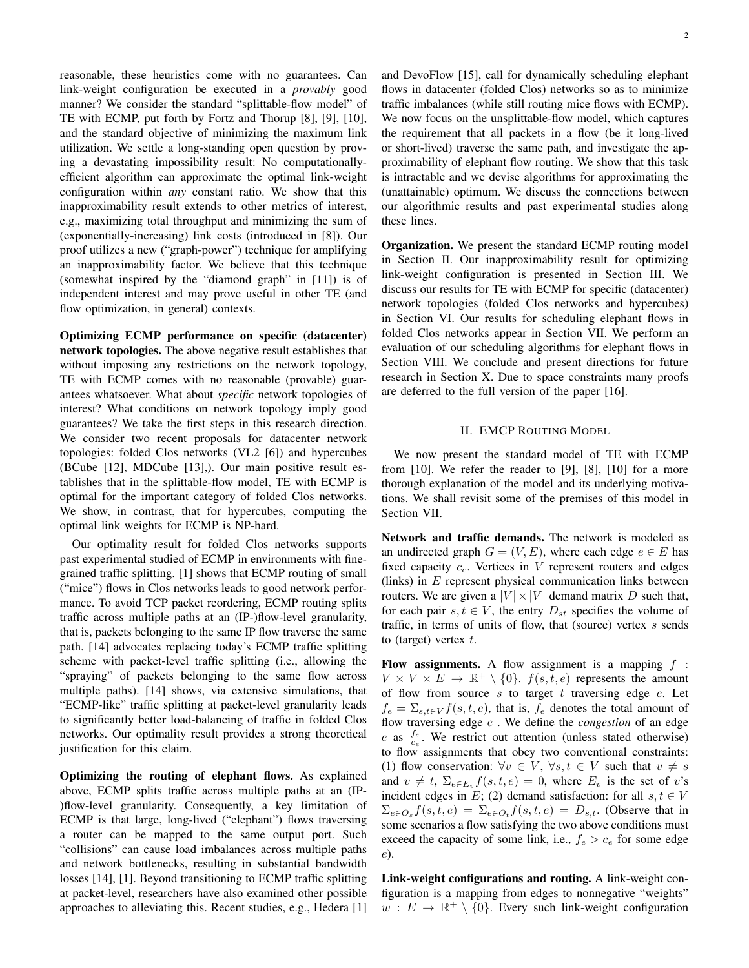reasonable, these heuristics come with no guarantees. Can link-weight configuration be executed in a *provably* good manner? We consider the standard "splittable-flow model" of TE with ECMP, put forth by Fortz and Thorup [8], [9], [10], and the standard objective of minimizing the maximum link utilization. We settle a long-standing open question by proving a devastating impossibility result: No computationallyefficient algorithm can approximate the optimal link-weight configuration within *any* constant ratio. We show that this inapproximability result extends to other metrics of interest, e.g., maximizing total throughput and minimizing the sum of (exponentially-increasing) link costs (introduced in [8]). Our proof utilizes a new ("graph-power") technique for amplifying an inapproximability factor. We believe that this technique (somewhat inspired by the "diamond graph" in [11]) is of independent interest and may prove useful in other TE (and flow optimization, in general) contexts.

Optimizing ECMP performance on specific (datacenter) network topologies. The above negative result establishes that without imposing any restrictions on the network topology, TE with ECMP comes with no reasonable (provable) guarantees whatsoever. What about *specific* network topologies of interest? What conditions on network topology imply good guarantees? We take the first steps in this research direction. We consider two recent proposals for datacenter network topologies: folded Clos networks (VL2 [6]) and hypercubes (BCube [12], MDCube [13],). Our main positive result establishes that in the splittable-flow model, TE with ECMP is optimal for the important category of folded Clos networks. We show, in contrast, that for hypercubes, computing the optimal link weights for ECMP is NP-hard.

Our optimality result for folded Clos networks supports past experimental studied of ECMP in environments with finegrained traffic splitting. [1] shows that ECMP routing of small ("mice") flows in Clos networks leads to good network performance. To avoid TCP packet reordering, ECMP routing splits traffic across multiple paths at an (IP-)flow-level granularity, that is, packets belonging to the same IP flow traverse the same path. [14] advocates replacing today's ECMP traffic splitting scheme with packet-level traffic splitting (i.e., allowing the "spraying" of packets belonging to the same flow across multiple paths). [14] shows, via extensive simulations, that "ECMP-like" traffic splitting at packet-level granularity leads to significantly better load-balancing of traffic in folded Clos networks. Our optimality result provides a strong theoretical justification for this claim.

Optimizing the routing of elephant flows. As explained above, ECMP splits traffic across multiple paths at an (IP- )flow-level granularity. Consequently, a key limitation of ECMP is that large, long-lived ("elephant") flows traversing a router can be mapped to the same output port. Such "collisions" can cause load imbalances across multiple paths and network bottlenecks, resulting in substantial bandwidth losses [14], [1]. Beyond transitioning to ECMP traffic splitting at packet-level, researchers have also examined other possible approaches to alleviating this. Recent studies, e.g., Hedera [1] and DevoFlow [15], call for dynamically scheduling elephant flows in datacenter (folded Clos) networks so as to minimize traffic imbalances (while still routing mice flows with ECMP). We now focus on the unsplittable-flow model, which captures the requirement that all packets in a flow (be it long-lived or short-lived) traverse the same path, and investigate the approximability of elephant flow routing. We show that this task is intractable and we devise algorithms for approximating the (unattainable) optimum. We discuss the connections between our algorithmic results and past experimental studies along these lines.

**Organization.** We present the standard ECMP routing model in Section II. Our inapproximability result for optimizing link-weight configuration is presented in Section III. We discuss our results for TE with ECMP for specific (datacenter) network topologies (folded Clos networks and hypercubes) in Section VI. Our results for scheduling elephant flows in folded Clos networks appear in Section VII. We perform an evaluation of our scheduling algorithms for elephant flows in Section VIII. We conclude and present directions for future research in Section X. Due to space constraints many proofs are deferred to the full version of the paper [16].

# II. EMCP ROUTING MODEL

We now present the standard model of TE with ECMP from  $[10]$ . We refer the reader to  $[9]$ ,  $[8]$ ,  $[10]$  for a more thorough explanation of the model and its underlying motivations. We shall revisit some of the premises of this model in Section VII.

Network and traffic demands. The network is modeled as an undirected graph  $G = (V, E)$ , where each edge  $e \in E$  has fixed capacity  $c_e$ . Vertices in V represent routers and edges (links) in  $E$  represent physical communication links between routers. We are given a  $|V| \times |V|$  demand matrix D such that, for each pair  $s, t \in V$ , the entry  $D_{st}$  specifies the volume of traffic, in terms of units of flow, that (source) vertex  $s$  sends to (target) vertex  $t$ .

Flow assignments. A flow assignment is a mapping  $f$ :  $V \times V \times E \rightarrow \mathbb{R}^+ \setminus \{0\}$ .  $f(s, t, e)$  represents the amount of flow from source  $s$  to target  $t$  traversing edge  $e$ . Let  $f_e = \sum_{s,t \in V} f(s,t,e)$ , that is,  $f_e$  denotes the total amount of flow traversing edge e . We define the *congestion* of an edge e as  $\frac{f_e}{c_e}$ . We restrict out attention (unless stated otherwise) to flow assignments that obey two conventional constraints: (1) flow conservation:  $\forall v \in V, \forall s,t \in V$  such that  $v \neq s$ and  $v \neq t$ ,  $\Sigma_{e \in E_v} f(s, t, e) = 0$ , where  $E_v$  is the set of v's incident edges in E; (2) demand satisfaction: for all  $s, t \in V$  $\Sigma_{e \in O_s} f(s, t, e) = \Sigma_{e \in O_t} f(s, t, e) = D_{s, t}$ . (Observe that in some scenarios a flow satisfying the two above conditions must exceed the capacity of some link, i.e.,  $f_e > c_e$  for some edge e).

Link-weight configurations and routing. A link-weight configuration is a mapping from edges to nonnegative "weights"  $w : E \to \mathbb{R}^+ \setminus \{0\}$ . Every such link-weight configuration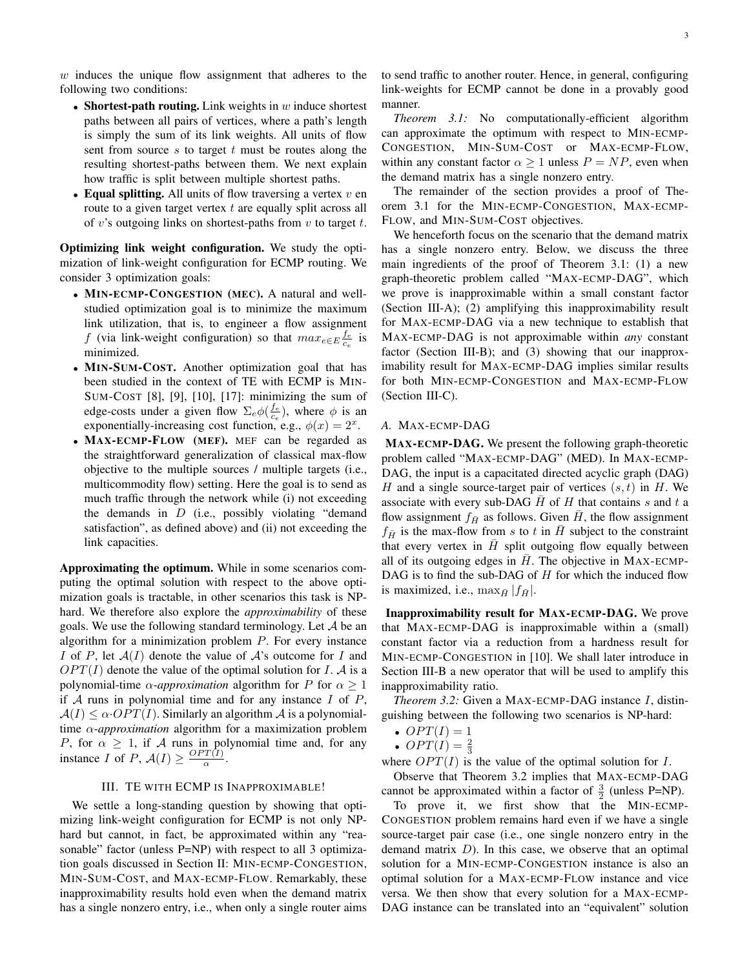$w$  induces the unique flow assignment that adheres to the following two conditions:

- Shortest-path routing. Link weights in  $w$  induce shortest paths between all pairs of vertices, where a path's length is simply the sum of its link weights. All units of flow sent from source  $s$  to target  $t$  must be routes along the resulting shortest-paths between them. We next explain how traffic is split between multiple shortest paths.
- Equal splitting. All units of flow traversing a vertex  $v$  en route to a given target vertex  $t$  are equally split across all of v's outgoing links on shortest-paths from  $v$  to target  $t$ .

Optimizing link weight configuration. We study the optimization of link-weight configuration for ECMP routing. We consider 3 optimization goals:

- MIN-ECMP-CONGESTION (MEC). A natural and wellstudied optimization goal is to minimize the maximum link utilization, that is, to engineer a flow assignment f (via link-weight configuration) so that  $max_{e \in E} \frac{f_e}{c_e}$  is minimized.
- MIN-SUM-COST. Another optimization goal that has been studied in the context of TE with ECMP is MIN-SUM-COST [8], [9], [10], [17]: minimizing the sum of edge-costs under a given flow  $\Sigma_e \phi(\frac{f_e}{c_e})$ , where  $\phi$  is an exponentially-increasing cost function, e.g.,  $\phi(x) = 2^x$ .
- MAX-ECMP-FLOW (MEF). MEF can be regarded as the straightforward generalization of classical max-flow objective to the multiple sources / multiple targets (i.e., multicommodity flow) setting. Here the goal is to send as much traffic through the network while (i) not exceeding the demands in  $D$  (i.e., possibly violating "demand" satisfaction", as defined above) and (ii) not exceeding the link capacities.

Approximating the optimum. While in some scenarios computing the optimal solution with respect to the above optimization goals is tractable, in other scenarios this task is NPhard. We therefore also explore the *approximability* of these goals. We use the following standard terminology. Let  $A$  be an algorithm for a minimization problem  $P$ . For every instance I of P, let  $A(I)$  denote the value of A's outcome for I and  $OPT(I)$  denote the value of the optimal solution for I. A is a polynomial-time  $\alpha$ -*approximation* algorithm for P for  $\alpha \geq 1$ if  $A$  runs in polynomial time and for any instance  $I$  of  $P$ ,  $A(I) \leq \alpha \cdot OPT(I)$ . Similarly an algorithm A is a polynomialtime α-*approximation* algorithm for a maximization problem P, for  $\alpha \geq 1$ , if A runs in polynomial time and, for any instance *I* of *P*,  $A(I) \ge \frac{OPT(I)}{\alpha}$  $rac{I(I)}{\alpha}$ .

## III. TE WITH ECMP IS INAPPROXIMABLE!

We settle a long-standing question by showing that optimizing link-weight configuration for ECMP is not only NPhard but cannot, in fact, be approximated within any "reasonable" factor (unless P=NP) with respect to all 3 optimization goals discussed in Section II: MIN-ECMP-CONGESTION, MIN-SUM-COST, and MAX-ECMP-FLOW. Remarkably, these inapproximability results hold even when the demand matrix has a single nonzero entry, i.e., when only a single router aims to send traffic to another router. Hence, in general, configuring link-weights for ECMP cannot be done in a provably good manner.

*Theorem 3.1:* No computationally-efficient algorithm can approximate the optimum with respect to MIN-ECMP-CONGESTION, MIN-SUM-COST or MAX-ECMP-FLOW, within any constant factor  $\alpha \geq 1$  unless  $P = NP$ , even when the demand matrix has a single nonzero entry.

The remainder of the section provides a proof of Theorem 3.1 for the MIN-ECMP-CONGESTION, MAX-ECMP-FLOW, and MIN-SUM-COST objectives.

We henceforth focus on the scenario that the demand matrix has a single nonzero entry. Below, we discuss the three main ingredients of the proof of Theorem 3.1: (1) a new graph-theoretic problem called "MAX-ECMP-DAG", which we prove is inapproximable within a small constant factor (Section III-A); (2) amplifying this inapproximability result for MAX-ECMP-DAG via a new technique to establish that MAX-ECMP-DAG is not approximable within *any* constant factor (Section III-B); and (3) showing that our inapproximability result for MAX-ECMP-DAG implies similar results for both MIN-ECMP-CONGESTION and MAX-ECMP-FLOW (Section III-C).

## *A.* MAX-ECMP-DAG

MAX-ECMP-DAG. We present the following graph-theoretic problem called "MAX-ECMP-DAG" (MED). In MAX-ECMP-DAG, the input is a capacitated directed acyclic graph (DAG) H and a single source-target pair of vertices  $(s, t)$  in H. We associate with every sub-DAG  $\bar{H}$  of H that contains s and t a flow assignment  $f_{\bar{H}}$  as follows. Given  $\bar{H}$ , the flow assignment  $f_{\bar{H}}$  is the max-flow from s to t in  $\bar{H}$  subject to the constraint that every vertex in  $\bar{H}$  split outgoing flow equally between all of its outgoing edges in  $H$ . The objective in MAX-ECMP-DAG is to find the sub-DAG of  $H$  for which the induced flow is maximized, i.e.,  $\max_{\bar{H}} |f_{\bar{H}}|$ .

Inapproximability result for MAX-ECMP-DAG. We prove that MAX-ECMP-DAG is inapproximable within a (small) constant factor via a reduction from a hardness result for MIN-ECMP-CONGESTION in [10]. We shall later introduce in Section III-B a new operator that will be used to amplify this inapproximability ratio.

*Theorem 3.2:* Given a MAX-ECMP-DAG instance I, distinguishing between the following two scenarios is NP-hard:

- $OPT(I) = 1$
- $OPT(I) = \frac{2}{3}$

where  $OPT(I)$  is the value of the optimal solution for I.

Observe that Theorem 3.2 implies that MAX-ECMP-DAG cannot be approximated within a factor of  $\frac{3}{2}$  (unless P=NP).

To prove it, we first show that the MIN-ECMP-CONGESTION problem remains hard even if we have a single source-target pair case (i.e., one single nonzero entry in the demand matrix  $D$ ). In this case, we observe that an optimal solution for a MIN-ECMP-CONGESTION instance is also an optimal solution for a MAX-ECMP-FLOW instance and vice versa. We then show that every solution for a MAX-ECMP-DAG instance can be translated into an "equivalent" solution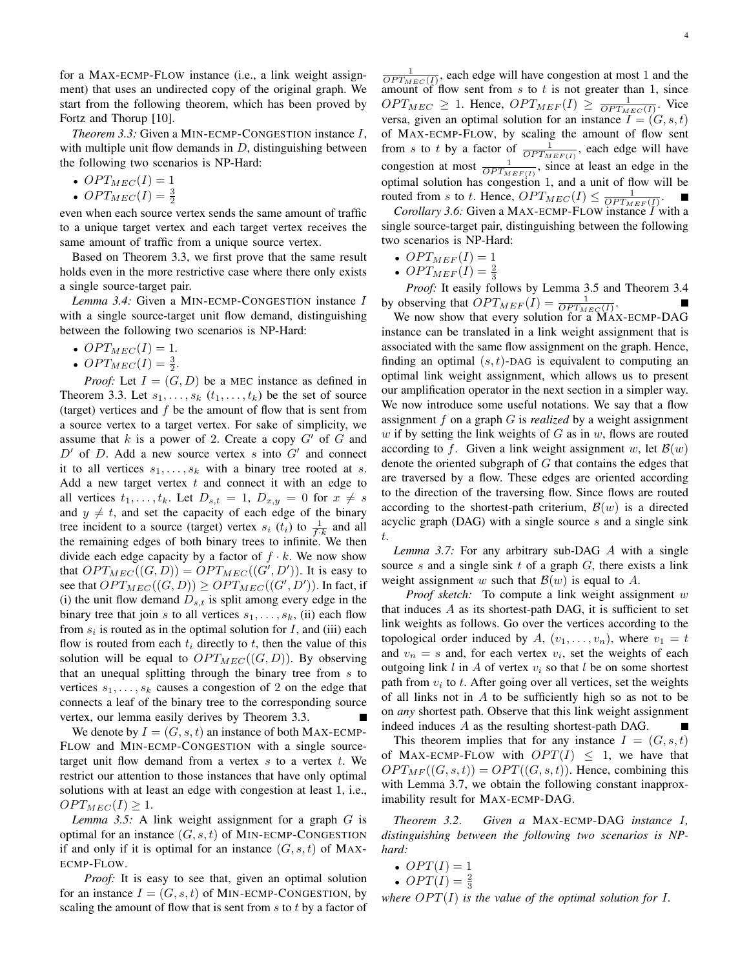for a MAX-ECMP-FLOW instance (i.e., a link weight assignment) that uses an undirected copy of the original graph. We start from the following theorem, which has been proved by Fortz and Thorup [10].

*Theorem 3.3:* Given a MIN-ECMP-CONGESTION instance I, with multiple unit flow demands in  $D$ , distinguishing between the following two scenarios is NP-Hard:

- OPT $_{MEC}(I) = 1$
- OPT<sub>MEC</sub> $(I) = \frac{3}{2}$

even when each source vertex sends the same amount of traffic to a unique target vertex and each target vertex receives the same amount of traffic from a unique source vertex.

Based on Theorem 3.3, we first prove that the same result holds even in the more restrictive case where there only exists a single source-target pair.

*Lemma 3.4:* Given a MIN-ECMP-CONGESTION instance I with a single source-target unit flow demand, distinguishing between the following two scenarios is NP-Hard:

- OPT $_{MEC}(I) = 1$ .
- $OPT_{MEC}(I) = \frac{3}{2}$ .

*Proof:* Let  $I = (G, D)$  be a MEC instance as defined in Theorem 3.3. Let  $s_1, \ldots, s_k$   $(t_1, \ldots, t_k)$  be the set of source (target) vertices and  $f$  be the amount of flow that is sent from a source vertex to a target vertex. For sake of simplicity, we assume that  $k$  is a power of 2. Create a copy  $G'$  of  $G$  and  $D'$  of D. Add a new source vertex s into  $G'$  and connect it to all vertices  $s_1, \ldots, s_k$  with a binary tree rooted at s. Add a new target vertex  $t$  and connect it with an edge to all vertices  $t_1, \ldots, t_k$ . Let  $D_{s,t} = 1$ ,  $D_{x,y} = 0$  for  $x \neq s$ and  $y \neq t$ , and set the capacity of each edge of the binary tree incident to a source (target) vertex  $s_i$  ( $t_i$ ) to  $\frac{1}{f \cdot k}$  and all the remaining edges of both binary trees to infinite. We then divide each edge capacity by a factor of  $f \cdot k$ . We now show that  $OPT_{MEC}((G, D)) = OPT_{MEC}((G', D'))$ . It is easy to see that  $OPT_{MEC}((G, D)) \geq OPT_{MEC}((G', D'))$ . In fact, if (i) the unit flow demand  $D_{s,t}$  is split among every edge in the binary tree that join s to all vertices  $s_1, \ldots, s_k$ , (ii) each flow from  $s_i$  is routed as in the optimal solution for  $I$ , and (iii) each flow is routed from each  $t_i$  directly to  $t$ , then the value of this solution will be equal to  $OPT_{MEC}((G, D))$ . By observing that an unequal splitting through the binary tree from s to vertices  $s_1, \ldots, s_k$  causes a congestion of 2 on the edge that connects a leaf of the binary tree to the corresponding source vertex, our lemma easily derives by Theorem 3.3.

We denote by  $I = (G, s, t)$  an instance of both MAX-ECMP-FLOW and MIN-ECMP-CONGESTION with a single sourcetarget unit flow demand from a vertex  $s$  to a vertex  $t$ . We restrict our attention to those instances that have only optimal solutions with at least an edge with congestion at least 1, i.e.,  $OPT_{MEC}(I) \geq 1.$ 

*Lemma 3.5:* A link weight assignment for a graph G is optimal for an instance  $(G, s, t)$  of MIN-ECMP-CONGESTION if and only if it is optimal for an instance  $(G, s, t)$  of MAX-ECMP-FLOW.

*Proof:* It is easy to see that, given an optimal solution for an instance  $I = (G, s, t)$  of MIN-ECMP-CONGESTION, by scaling the amount of flow that is sent from  $s$  to  $t$  by a factor of

 $\frac{1}{OPT_{MEC}(I)}$ , each edge will have congestion at most 1 and the amount of flow sent from  $s$  to  $t$  is not greater than 1, since  $OPT_{MEC} \geq 1$ . Hence,  $OPT_{MEF}(I) \geq \frac{1}{OPT_{MEC}(I)}$ . Vice versa, given an optimal solution for an instance  $I = (G, s, t)$ of MAX-ECMP-FLOW, by scaling the amount of flow sent from s to t by a factor of  $\frac{1}{OPT_{MEF(I)}}$ , each edge will have congestion at most  $\frac{1}{OPT_{MEF(I)}}$ , since at least an edge in the optimal solution has congestion 1, and a unit of flow will be routed from s to t. Hence,  $OPT_{MEC}(I) \leq \frac{1}{OPT_{MEF}(I)}$ .

*Corollary 3.6:* Given a MAX-ECMP-FLOW instance *I* with a single source-target pair, distinguishing between the following two scenarios is NP-Hard:

- OPT $_{MEF}(I) = 1$
- OPT<sub>MEF</sub> $(I) = \frac{2}{3}$

*Proof:* It easily follows by Lemma 3.5 and Theorem 3.4 by observing that  $OPT_{MEF}(I) = \frac{1}{OPT_{MEC}(I)}$ .

We now show that every solution for a MAX-ECMP-DAG instance can be translated in a link weight assignment that is associated with the same flow assignment on the graph. Hence, finding an optimal  $(s, t)$ -DAG is equivalent to computing an optimal link weight assignment, which allows us to present our amplification operator in the next section in a simpler way. We now introduce some useful notations. We say that a flow assignment f on a graph G is *realized* by a weight assignment w if by setting the link weights of  $G$  as in  $w$ , flows are routed according to f. Given a link weight assignment w, let  $\mathcal{B}(w)$ denote the oriented subgraph of  $G$  that contains the edges that are traversed by a flow. These edges are oriented according to the direction of the traversing flow. Since flows are routed according to the shortest-path criterium,  $\mathcal{B}(w)$  is a directed acyclic graph (DAG) with a single source s and a single sink t.

*Lemma 3.7:* For any arbitrary sub-DAG A with a single source s and a single sink  $t$  of a graph  $G$ , there exists a link weight assignment w such that  $\mathcal{B}(w)$  is equal to A.

*Proof sketch:* To compute a link weight assignment w that induces  $A$  as its shortest-path DAG, it is sufficient to set link weights as follows. Go over the vertices according to the topological order induced by A,  $(v_1, \ldots, v_n)$ , where  $v_1 = t$ and  $v_n = s$  and, for each vertex  $v_i$ , set the weights of each outgoing link l in A of vertex  $v_i$  so that l be on some shortest path from  $v_i$  to t. After going over all vertices, set the weights of all links not in  $A$  to be sufficiently high so as not to be on *any* shortest path. Observe that this link weight assignment indeed induces A as the resulting shortest-path DAG.

This theorem implies that for any instance  $I = (G, s, t)$ of MAX-ECMP-FLOW with  $OPT(I) \leq 1$ , we have that  $OPT_{MF}((G, s, t)) = OPT((G, s, t))$ . Hence, combining this with Lemma 3.7, we obtain the following constant inapproximability result for MAX-ECMP-DAG.

*Theorem 3.2*. *Given a* MAX-ECMP-DAG *instance* I*, distinguishing between the following two scenarios is NPhard:*

- $OPT(I) = 1$
- $OPT(I) = \frac{2}{3}$

*where*  $OPT(I)$  *is the value of the optimal solution for*  $I$ *.*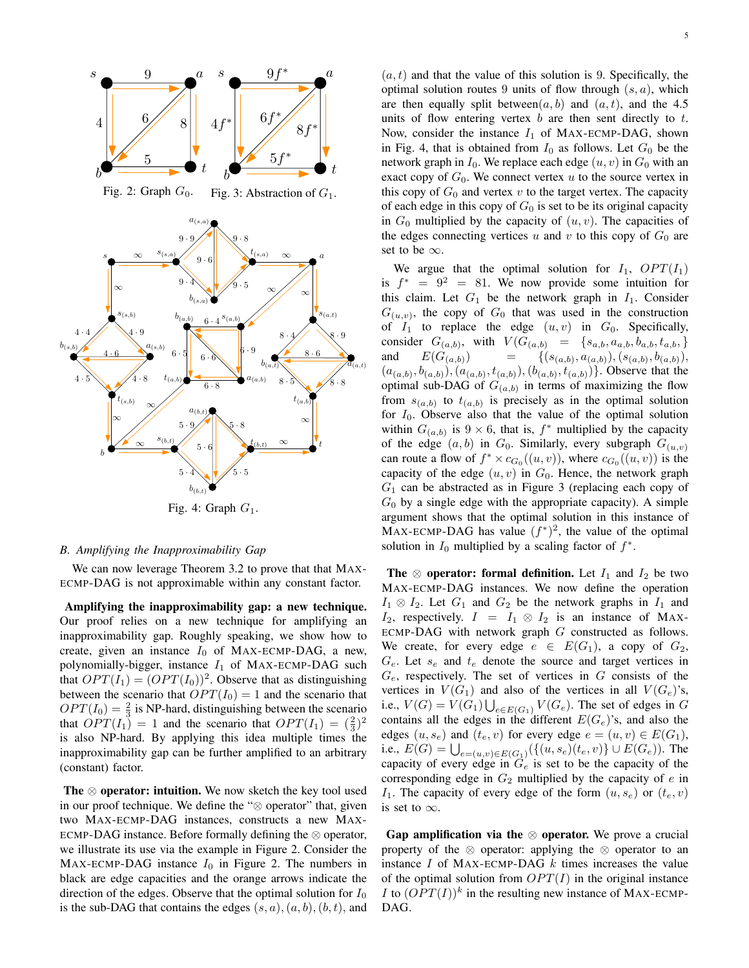

Fig. 4: Graph  $G_1$ .

## *B. Amplifying the Inapproximability Gap*

We can now leverage Theorem 3.2 to prove that that MAX-ECMP-DAG is not approximable within any constant factor.

Amplifying the inapproximability gap: a new technique. Our proof relies on a new technique for amplifying an inapproximability gap. Roughly speaking, we show how to create, given an instance  $I_0$  of MAX-ECMP-DAG, a new, polynomially-bigger, instance  $I_1$  of MAX-ECMP-DAG such that  $OPT(I_1) = (OPT(I_0))^2$ . Observe that as distinguishing between the scenario that  $OPT(I_0) = 1$  and the scenario that  $OPT(I_0) = \frac{2}{3}$  is NP-hard, distinguishing between the scenario that  $OPT(I_1) = 1$  and the scenario that  $OPT(I_1) = \left(\frac{2}{3}\right)^2$ is also NP-hard. By applying this idea multiple times the inapproximability gap can be further amplified to an arbitrary (constant) factor.

The  $\otimes$  operator: intuition. We now sketch the key tool used in our proof technique. We define the "⊗ operator" that, given two MAX-ECMP-DAG instances, constructs a new MAX-ECMP-DAG instance. Before formally defining the  $\otimes$  operator, we illustrate its use via the example in Figure 2. Consider the MAX-ECMP-DAG instance  $I_0$  in Figure 2. The numbers in black are edge capacities and the orange arrows indicate the direction of the edges. Observe that the optimal solution for  $I_0$ is the sub-DAG that contains the edges  $(s, a), (a, b), (b, t)$ , and

 $(a, t)$  and that the value of this solution is 9. Specifically, the optimal solution routes 9 units of flow through  $(s, a)$ , which are then equally split between $(a, b)$  and  $(a, t)$ , and the 4.5 units of flow entering vertex  $b$  are then sent directly to  $t$ . Now, consider the instance  $I_1$  of MAX-ECMP-DAG, shown in Fig. 4, that is obtained from  $I_0$  as follows. Let  $G_0$  be the network graph in  $I_0$ . We replace each edge  $(u, v)$  in  $G_0$  with an exact copy of  $G_0$ . We connect vertex u to the source vertex in this copy of  $G_0$  and vertex v to the target vertex. The capacity of each edge in this copy of  $G_0$  is set to be its original capacity in  $G_0$  multiplied by the capacity of  $(u, v)$ . The capacities of the edges connecting vertices  $u$  and  $v$  to this copy of  $G_0$  are set to be  $\infty$ .

We argue that the optimal solution for  $I_1$ ,  $OPT(I_1)$ is  $f^* = 9^2 = 81$ . We now provide some intuition for this claim. Let  $G_1$  be the network graph in  $I_1$ . Consider  $G_{(u,v)}$ , the copy of  $G_0$  that was used in the construction of  $I_1$  to replace the edge  $(u, v)$  in  $G_0$ . Specifically, consider  $G_{(a,b)}$ , with  $V(G_{(a,b)} = \{s_{a,b}, a_{a,b}, b_{a,b}, t_{a,b},\}$ and  $E(G_{(a,b)})$  =  $(a_{(a,b)}), (s_{(a,b)}, b_{(a,b)}),$  $(a_{(a,b)}, b_{(a,b)}), (a_{(a,b)}, t_{(a,b)}), (b_{(a,b)}, t_{(a,b)})\}$ . Observe that the optimal sub-DAG of  $G_{(a,b)}$  in terms of maximizing the flow from  $s_{(a,b)}$  to  $t_{(a,b)}$  is precisely as in the optimal solution for  $I_0$ . Observe also that the value of the optimal solution within  $G_{(a,b)}$  is  $9 \times 6$ , that is,  $f^*$  multiplied by the capacity of the edge  $(a, b)$  in  $G_0$ . Similarly, every subgraph  $G_{(u,v)}$ can route a flow of  $f^* \times c_{G_0}((u, v))$ , where  $c_{G_0}((u, v))$  is the capacity of the edge  $(u, v)$  in  $G<sub>0</sub>$ . Hence, the network graph  $G_1$  can be abstracted as in Figure 3 (replacing each copy of  $G_0$  by a single edge with the appropriate capacity). A simple argument shows that the optimal solution in this instance of MAX-ECMP-DAG has value  $(f^*)^2$ , the value of the optimal solution in  $I_0$  multiplied by a scaling factor of  $f^*$ .

The  $\otimes$  operator: formal definition. Let  $I_1$  and  $I_2$  be two MAX-ECMP-DAG instances. We now define the operation  $I_1 \otimes I_2$ . Let  $G_1$  and  $G_2$  be the network graphs in  $I_1$  and  $I_2$ , respectively.  $I = I_1 \otimes I_2$  is an instance of MAX-ECMP-DAG with network graph  $G$  constructed as follows. We create, for every edge  $e \in E(G_1)$ , a copy of  $G_2$ ,  $G_e$ . Let  $s_e$  and  $t_e$  denote the source and target vertices in  $G_e$ , respectively. The set of vertices in  $G$  consists of the vertices in  $V(G_1)$  and also of the vertices in all  $V(G_e)$ 's, i.e.,  $V(G) = V(G_1) \bigcup_{e \in E(G_1)} V(G_e)$ . The set of edges in G contains all the edges in the different  $E(G_e)$ 's, and also the edges  $(u, s_e)$  and  $(t_e, v)$  for every edge  $e = (u, v) \in E(G_1)$ , i.e.,  $E(G) = \bigcup_{e=(u,v)\in E(G_1)} (\{(u, s_e)(t_e, v)\} \cup E(G_e)).$  The capacity of every edge in  $G_e$  is set to be the capacity of the corresponding edge in  $G_2$  multiplied by the capacity of  $e$  in  $I_1$ . The capacity of every edge of the form  $(u, s_e)$  or  $(t_e, v)$ is set to  $\infty$ .

Gap amplification via the  $\otimes$  operator. We prove a crucial property of the ⊗ operator: applying the ⊗ operator to an instance  $I$  of MAX-ECMP-DAG  $k$  times increases the value of the optimal solution from  $OPT(I)$  in the original instance *I* to  $(OPT(I))^k$  in the resulting new instance of MAX-ECMP-DAG.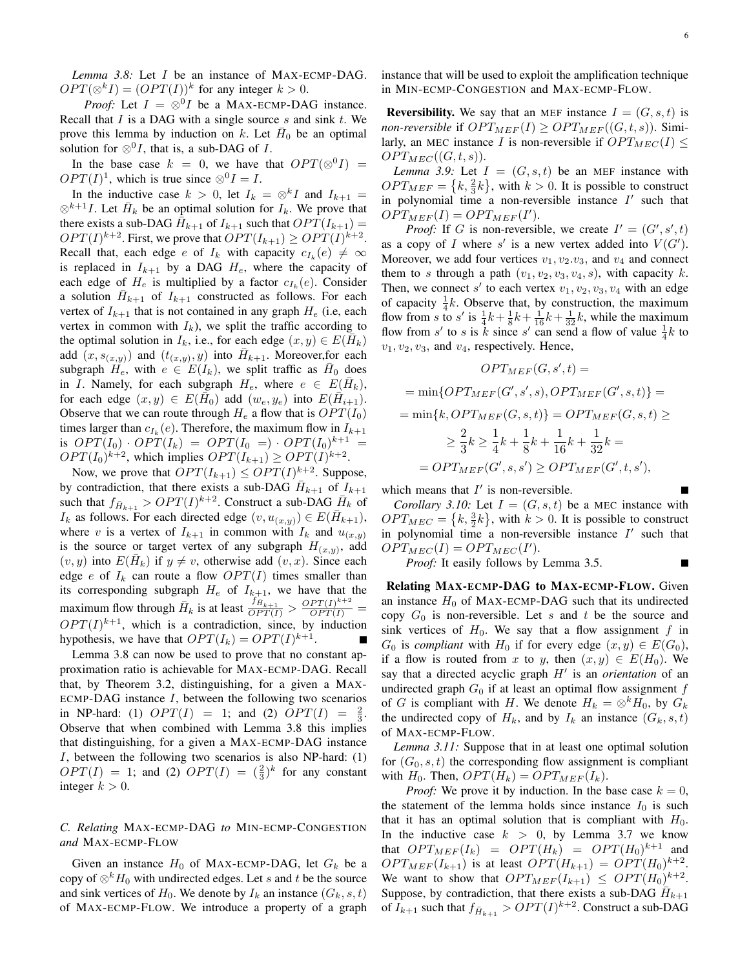*Lemma 3.8:* Let I be an instance of MAX-ECMP-DAG.  $OPT(\otimes^k I) = (OPT(I))^k$  for any integer  $k > 0$ .

*Proof:* Let  $I = \otimes^0 I$  be a MAX-ECMP-DAG instance. Recall that  $I$  is a DAG with a single source  $s$  and sink  $t$ . We prove this lemma by induction on k. Let  $\bar{H}_0$  be an optimal solution for  $\otimes^0 I$ , that is, a sub-DAG of I.

In the base case  $k = 0$ , we have that  $OPT(\otimes^0 I) =$  $OPT(I)^1$ , which is true since  $\otimes^0 I = I$ .

In the inductive case  $k > 0$ , let  $I_k = \otimes^k I$  and  $I_{k+1} =$  $\otimes^{k+1} I$ . Let  $\bar{H}_k$  be an optimal solution for  $I_k$ . We prove that there exists a sub-DAG  $\hat{H}_{k+1}$  of  $I_{k+1}$  such that  $OPT(I_{k+1}) =$  $OPT(I)^{k+2}$ . First, we prove that  $OPT(I_{k+1}) \geq OPT(I)^{k+2}$ . Recall that, each edge e of  $I_k$  with capacity  $c_{I_k}(e) \neq \infty$ is replaced in  $I_{k+1}$  by a DAG  $H_e$ , where the capacity of each edge of  $H_e$  is multiplied by a factor  $c_{I_k}(e)$ . Consider a solution  $\overline{H}_{k+1}$  of  $I_{k+1}$  constructed as follows. For each vertex of  $I_{k+1}$  that is not contained in any graph  $H_e$  (i.e, each vertex in common with  $I_k$ ), we split the traffic according to the optimal solution in  $I_k$ , i.e., for each edge  $(x, y) \in E(\overline{H}_k)$ add  $(x, s_{(x,y)})$  and  $(t_{(x,y)}, y)$  into  $\overline{H}_{k+1}$ . Moreover, for each subgraph  $H_e$ , with  $e \in E(I_k)$ , we split traffic as  $\bar{H}_0$  does in I. Namely, for each subgraph  $H_e$ , where  $e \in E(\bar{H}_k)$ , for each edge  $(x, y) \in E(\overline{H}_0)$  add  $(w_e, y_e)$  into  $E(\overline{H}_{i+1})$ . Observe that we can route through  $H_e$  a flow that is  $OPT(I_0)$ times larger than  $c_{I_k}(e)$ . Therefore, the maximum flow in  $I_{k+1}$ is  $OPT(I_0) \cdot OPT(I_k) = OPT(I_0 =) \cdot OPT(I_0)^{k+1} =$  $OPT(I_0)^{k+2}$ , which implies  $OPT(I_{k+1}) \geq OPT(I)^{k+2}$ .

Now, we prove that  $OPT(I_{k+1}) \leq OPT(I)^{k+2}$ . Suppose, by contradiction, that there exists a sub-DAG  $\overline{H}_{k+1}$  of  $I_{k+1}$ such that  $f_{\bar{H}_{k+1}} > OPT(I)^{k+2}$ . Construct a sub-DAG  $\bar{H}_k$  of  $I_k$  as follows. For each directed edge  $(v, u_{(x,y)}) \in E(\bar{H}_{k+1}),$ where v is a vertex of  $I_{k+1}$  in common with  $I_k$  and  $u_{(x,y)}$ is the source or target vertex of any subgraph  $H_{(x,y)}$ , add  $(v, y)$  into  $E(\bar{H}_k)$  if  $y \neq v$ , otherwise add  $(v, x)$ . Since each edge e of  $I_k$  can route a flow  $OPT(I)$  times smaller than its corresponding subgraph  $H_e$  of  $I_{k+1}$ , we have that the maximum flow through  $\overline{H}_k$  is at least  $\frac{f_{H_{k+1}}}{OPT(I)} > \frac{OPT(I)^{k+2}}{OPT(I)}$  $OPT(I)^{k+1}$ , which is a contradiction, since, by induction hypothesis, we have that  $OPT(I_k) = OPT(I)^{k+1}$ .

Lemma 3.8 can now be used to prove that no constant approximation ratio is achievable for MAX-ECMP-DAG. Recall that, by Theorem 3.2, distinguishing, for a given a MAX-ECMP-DAG instance  $I$ , between the following two scenarios in NP-hard: (1)  $OPT(I) = 1$ ; and (2)  $OPT(I) = \frac{2}{3}$ . Observe that when combined with Lemma 3.8 this implies that distinguishing, for a given a MAX-ECMP-DAG instance I, between the following two scenarios is also NP-hard: (1)  $OPT(I) = 1$ ; and (2)  $OPT(I) = (\frac{2}{3})^k$  for any constant integer  $k > 0$ .

# *C. Relating* MAX-ECMP-DAG *to* MIN-ECMP-CONGESTION *and* MAX-ECMP-FLOW

Given an instance  $H_0$  of MAX-ECMP-DAG, let  $G_k$  be a copy of  $\otimes^k H_0$  with undirected edges. Let s and t be the source and sink vertices of  $H_0$ . We denote by  $I_k$  an instance  $(G_k, s, t)$ of MAX-ECMP-FLOW. We introduce a property of a graph instance that will be used to exploit the amplification technique in MIN-ECMP-CONGESTION and MAX-ECMP-FLOW.

**Reversibility.** We say that an MEF instance  $I = (G, s, t)$  is *non-reversible* if  $OPT_{MEF}(I) \geq OPT_{MEF}((G, t, s))$ . Similarly, an MEC instance I is non-reversible if  $OPT_{MEC}(I) \leq$  $OPT_{MEC}((G, t, s)).$ 

*Lemma 3.9:* Let  $I = (G, s, t)$  be an MEF instance with  $OPT_{MEF} = \{k, \frac{2}{3}k\}$ , with  $k > 0$ . It is possible to construct in polynomial time a non-reversible instance  $I'$  such that  $OPT_{MEF}(I) = OPT_{MEF}(I').$ 

*Proof:* If G is non-reversible, we create  $I' = (G', s', t)$ as a copy of I where s' is a new vertex added into  $V(G')$ . Moreover, we add four vertices  $v_1, v_2. v_3$ , and  $v_4$  and connect them to s through a path  $(v_1, v_2, v_3, v_4, s)$ , with capacity k. Then, we connect s' to each vertex  $v_1, v_2, v_3, v_4$  with an edge of capacity  $\frac{1}{4}k$ . Observe that, by construction, the maximum flow from s to s' is  $\frac{1}{4}k+\frac{1}{8}k+\frac{1}{16}k+\frac{1}{32}k$ , while the maximum flow from s' to s is  $\hat{k}$  since s' can send a flow of value  $\frac{1}{4}k$  to  $v_1, v_2, v_3$ , and  $v_4$ , respectively. Hence,

$$
OPT_{MEF}(G, s', t) =
$$
  
= min{OPT<sub>MEF</sub>(G', s', s), OPT<sub>MEF</sub>(G', s, t)}  
= min{k, OPT<sub>MEF</sub>(G, s, t)} = OPT<sub>MEF</sub>(G, s, t)   

$$
\geq \frac{2}{3}k \geq \frac{1}{4}k + \frac{1}{8}k + \frac{1}{16}k + \frac{1}{32}k =
$$
  
= OPT<sub>MEF</sub>(G', s, s')  $\geq OPT_{MEF}(G', t, s')$ ,

which means that  $I'$  is non-reversible.

*Corollary 3.10:* Let  $I = (G, s, t)$  be a MEC instance with  $OPT_{MEC} = \left\{ k, \frac{3}{2}k \right\}$ , with  $k > 0$ . It is possible to construct in polynomial time a non-reversible instance  $I'$  such that  $OPT_{MEC}(I) = OPT_{MEC}(I').$ 

*Proof:* It easily follows by Lemma 3.5.

Relating MAX-ECMP-DAG to MAX-ECMP-FLOW. Given an instance  $H_0$  of MAX-ECMP-DAG such that its undirected copy  $G_0$  is non-reversible. Let s and t be the source and sink vertices of  $H_0$ . We say that a flow assignment f in  $G_0$  is *compliant* with  $H_0$  if for every edge  $(x, y) \in E(G_0)$ , if a flow is routed from x to y, then  $(x, y) \in E(H_0)$ . We say that a directed acyclic graph  $H'$  is an *orientation* of an undirected graph  $G_0$  if at least an optimal flow assignment  $f$ of G is compliant with H. We denote  $H_k = \otimes^k H_0$ , by  $G_k$ the undirected copy of  $H_k$ , and by  $I_k$  an instance  $(G_k, s, t)$ of MAX-ECMP-FLOW.

*Lemma 3.11:* Suppose that in at least one optimal solution for  $(G_0, s, t)$  the corresponding flow assignment is compliant with  $H_0$ . Then,  $OPT(H_k) = OPT_{MEF}(I_k)$ .

*Proof:* We prove it by induction. In the base case  $k = 0$ , the statement of the lemma holds since instance  $I_0$  is such that it has an optimal solution that is compliant with  $H_0$ . In the inductive case  $k > 0$ , by Lemma 3.7 we know that  $OPT_{MEF}(I_k) = OPT(H_k) = OPT(H_0)^{k+1}$  and  $OPT_{MEF}(I_{k+1})$  is at least  $OPT(H_{k+1}) = OPT(H_0)^{k+2}$ . We want to show that  $OPT_{MEF}(I_{k+1}) \leq OPT(H_0)^{k+2}$ . Suppose, by contradiction, that there exists a sub-DAG  $\overline{H}_{k+1}$ of  $I_{k+1}$  such that  $f_{\bar{H}_{k+1}} > OPT(I)^{k+2}$ . Construct a sub-DAG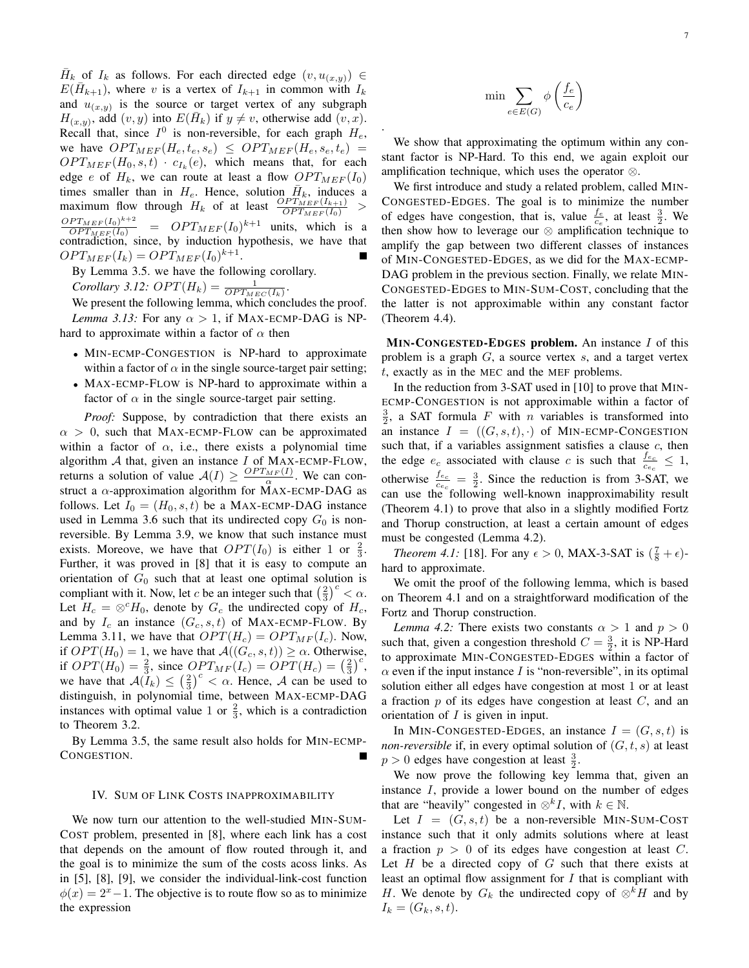$\bar{H}_k$  of  $I_k$  as follows. For each directed edge  $(v, u_{(x,y)}) \in$  $E(\bar{H}_{k+1})$ , where v is a vertex of  $I_{k+1}$  in common with  $I_k$ and  $u_{(x,y)}$  is the source or target vertex of any subgraph  $H_{(x,y)}$ , add  $(v, y)$  into  $E(\bar{H}_k)$  if  $y \neq v$ , otherwise add  $(v, x)$ . Recall that, since  $I^0$  is non-reversible, for each graph  $H_e$ , we have  $OPT_{MEF}(H_e, t_e, s_e) \leq OPT_{MEF}(H_e, s_e, t_e)$  =  $OPT_{MEF}(H_0, s, t) \cdot c_{I_k}(e)$ , which means that, for each edge e of  $H_k$ , we can route at least a flow  $OPT_{MEF}(I_0)$ times smaller than in  $H_e$ . Hence, solution  $\bar{H}_k$ , induces a maximum flow through  $H_k$  of at least  $\frac{OPT_{MEF}(I_{k+1})}{OPT_{MEF}(I_0)}$  >  $OPT_{MEF}(I_0)^{k+2}$  $\frac{P^{T}M_{E}F(I_0)^{n+2}}{OPT_{M}F(I_0)}$  =  $OPT_{M}F(I_0)^{k+1}$  units, which is a contradiction, since, by induction hypothesis, we have that  $OPT_{MEF}(I_k) = OPT_{MEF}(I_0)^{k+1}.$ 

By Lemma 3.5. we have the following corollary.

*Corollary 3.12:*  $OPT(H_k) = \frac{1}{OPT_{MEC}(I_k)}$ .

We present the following lemma, which concludes the proof. *Lemma 3.13:* For any  $\alpha > 1$ , if MAX-ECMP-DAG is NPhard to approximate within a factor of  $\alpha$  then

- MIN-ECMP-CONGESTION is NP-hard to approximate within a factor of  $\alpha$  in the single source-target pair setting;
- MAX-ECMP-FLOW is NP-hard to approximate within a factor of  $\alpha$  in the single source-target pair setting.

*Proof:* Suppose, by contradiction that there exists an  $\alpha > 0$ , such that MAX-ECMP-FLOW can be approximated within a factor of  $\alpha$ , i.e., there exists a polynomial time algorithm  $A$  that, given an instance  $I$  of MAX-ECMP-FLOW, returns a solution of value  $A(I) \geq \frac{OPT_{MF}(I)}{\alpha}$ . We can construct a  $\alpha$ -approximation algorithm for MAX-ECMP-DAG as follows. Let  $I_0 = (H_0, s, t)$  be a MAX-ECMP-DAG instance used in Lemma 3.6 such that its undirected copy  $G_0$  is nonreversible. By Lemma 3.9, we know that such instance must exists. Moreove, we have that  $OPT(I_0)$  is either 1 or  $\frac{2}{3}$ . Further, it was proved in [8] that it is easy to compute an orientation of  $G_0$  such that at least one optimal solution is compliant with it. Now, let c be an integer such that  $\left(\frac{2}{3}\right)^c < \alpha$ . Let  $H_c = \otimes^c H_0$ , denote by  $G_c$  the undirected copy of  $H_c$ , and by  $I_c$  an instance  $(G_c, s, t)$  of MAX-ECMP-FLOW. By Lemma 3.11, we have that  $OPT(H_c) = OPT_{MF}(I_c)$ . Now, if  $OPT(H_0) = 1$ , we have that  $\mathcal{A}((G_c, s, t)) \ge \alpha$ . Otherwise, if  $OPT(H_0) = \frac{2}{3}$ , since  $OPT_{MF}(I_c) = OPT(H_c) = (\frac{2}{3})^c$ , we have that  $A(I_k) \leq (\frac{2}{3})^c < \alpha$ . Hence, A can be used to distinguish, in polynomial time, between MAX-ECMP-DAG instances with optimal value 1 or  $\frac{2}{3}$ , which is a contradiction to Theorem 3.2.

By Lemma 3.5, the same result also holds for MIN-ECMP-CONGESTION.

#### IV. SUM OF LINK COSTS INAPPROXIMABILITY

We now turn our attention to the well-studied MIN-SUM-COST problem, presented in [8], where each link has a cost that depends on the amount of flow routed through it, and the goal is to minimize the sum of the costs acoss links. As in [5], [8], [9], we consider the individual-link-cost function  $\phi(x) = 2^x - 1$ . The objective is to route flow so as to minimize the expression

$$
\min \sum_{e \in E(G)} \phi\left(\frac{f_e}{c_e}\right)
$$

.

We show that approximating the optimum within any constant factor is NP-Hard. To this end, we again exploit our amplification technique, which uses the operator ⊗.

We first introduce and study a related problem, called MIN-CONGESTED-EDGES. The goal is to minimize the number of edges have congestion, that is, value  $\frac{f_e}{c_e}$ , at least  $\frac{3}{2}$ . We then show how to leverage our  $\otimes$  amplification technique to amplify the gap between two different classes of instances of MIN-CONGESTED-EDGES, as we did for the MAX-ECMP-DAG problem in the previous section. Finally, we relate MIN-CONGESTED-EDGES to MIN-SUM-COST, concluding that the the latter is not approximable within any constant factor (Theorem 4.4).

 $MIN-CONGESTED-EDGES$  problem. An instance  $I$  of this problem is a graph  $G$ , a source vertex  $s$ , and a target vertex t, exactly as in the MEC and the MEF problems.

In the reduction from 3-SAT used in [10] to prove that MIN-ECMP-CONGESTION is not approximable within a factor of  $\frac{3}{2}$ , a SAT formula F with n variables is transformed into an instance  $I = ((G, s, t), \cdot)$  of MIN-ECMP-CONGESTION such that, if a variables assignment satisfies a clause  $c$ , then the edge  $e_c$  associated with clause c is such that  $\frac{f_{e_c}}{c_{e_c}} \leq 1$ , otherwise  $\frac{f_{e_c}}{c_{e_c}} = \frac{3}{2}$ . Since the reduction is from 3-SAT, we can use the following well-known inapproximability result (Theorem 4.1) to prove that also in a slightly modified Fortz and Thorup construction, at least a certain amount of edges must be congested (Lemma 4.2).

*Theorem 4.1:* [18]. For any  $\epsilon > 0$ , MAX-3-SAT is  $(\frac{7}{8} + \epsilon)$ hard to approximate.

We omit the proof of the following lemma, which is based on Theorem 4.1 and on a straightforward modification of the Fortz and Thorup construction.

*Lemma 4.2:* There exists two constants  $\alpha > 1$  and  $p > 0$ such that, given a congestion threshold  $C = \frac{3}{2}$ , it is NP-Hard to approximate MIN-CONGESTED-EDGES within a factor of  $\alpha$  even if the input instance I is "non-reversible", in its optimal solution either all edges have congestion at most 1 or at least a fraction  $p$  of its edges have congestion at least  $C$ , and an orientation of I is given in input.

In MIN-CONGESTED-EDGES, an instance  $I = (G, s, t)$  is *non-reversible* if, in every optimal solution of  $(G, t, s)$  at least  $p > 0$  edges have congestion at least  $\frac{3}{2}$ .

We now prove the following key lemma that, given an instance I, provide a lower bound on the number of edges that are "heavily" congested in  $\otimes^k I$ , with  $k \in \mathbb{N}$ .

Let  $I = (G, s, t)$  be a non-reversible MIN-SUM-COST instance such that it only admits solutions where at least a fraction  $p > 0$  of its edges have congestion at least C. Let  $H$  be a directed copy of  $G$  such that there exists at least an optimal flow assignment for  $I$  that is compliant with H. We denote by  $G_k$  the undirected copy of  $\otimes^k H$  and by  $I_k = (G_k, s, t).$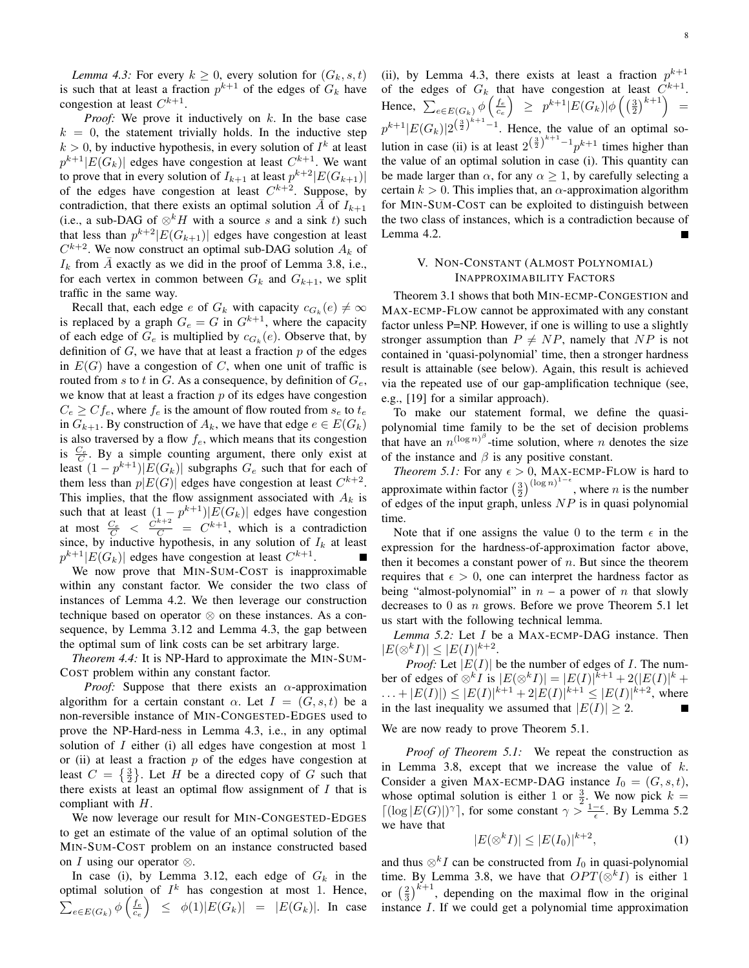*Lemma 4.3:* For every  $k \geq 0$ , every solution for  $(G_k, s, t)$ is such that at least a fraction  $p^{k+1}$  of the edges of  $G_k$  have congestion at least  $C^{k+1}$ .

*Proof:* We prove it inductively on k. In the base case  $k = 0$ , the statement trivially holds. In the inductive step  $k > 0$ , by inductive hypothesis, in every solution of  $I<sup>k</sup>$  at least  $p^{k+1}|E(G_k)|$  edges have congestion at least  $C^{k+1}$ . We want to prove that in every solution of  $I_{k+1}$  at least  $p^{k+2} |E(G_{k+1})|$ of the edges have congestion at least  $C^{k+2}$ . Suppose, by contradiction, that there exists an optimal solution  $\overline{A}$  of  $I_{k+1}$ (i.e., a sub-DAG of  $\otimes^k H$  with a source s and a sink t) such that less than  $p^{k+2} |E(G_{k+1})|$  edges have congestion at least  $C^{k+2}$ . We now construct an optimal sub-DAG solution  $A_k$  of  $I_k$  from  $\overline{A}$  exactly as we did in the proof of Lemma 3.8, i.e., for each vertex in common between  $G_k$  and  $G_{k+1}$ , we split traffic in the same way.

Recall that, each edge e of  $G_k$  with capacity  $c_{G_k}(e) \neq \infty$ is replaced by a graph  $G_e = G$  in  $G^{k+1}$ , where the capacity of each edge of  $G_e$  is multiplied by  $c_{G_k}(e)$ . Observe that, by definition of  $G$ , we have that at least a fraction  $p$  of the edges in  $E(G)$  have a congestion of C, when one unit of traffic is routed from s to t in G. As a consequence, by definition of  $G_e$ , we know that at least a fraction  $p$  of its edges have congestion  $C_e \geq C f_e$ , where  $f_e$  is the amount of flow routed from  $s_e$  to  $t_e$ in  $G_{k+1}$ . By construction of  $A_k$ , we have that edge  $e \in E(G_k)$ is also traversed by a flow  $f_e$ , which means that its congestion is  $\frac{C_e}{C}$ . By a simple counting argument, there only exist at least  $(1 - p^{k+1})|E(G_k)|$  subgraphs  $G_e$  such that for each of them less than  $p|E(G)|$  edges have congestion at least  $C^{k+2}$ . This implies, that the flow assignment associated with  $A_k$  is such that at least  $(1-p^{k+1})|E(G_k)|$  edges have congestion at most  $\frac{C_e}{C} < \frac{C^{k+2}}{C} = C^{k+1}$ , which is a contradiction since, by inductive hypothesis, in any solution of  $I_k$  at least  $p^{k+1}|E(G_k)|$  edges have congestion at least  $C^{k+1}$ .

We now prove that MIN-SUM-COST is inapproximable within any constant factor. We consider the two class of instances of Lemma 4.2. We then leverage our construction technique based on operator ⊗ on these instances. As a consequence, by Lemma 3.12 and Lemma 4.3, the gap between the optimal sum of link costs can be set arbitrary large.

*Theorem 4.4:* It is NP-Hard to approximate the MIN-SUM-COST problem within any constant factor.

*Proof:* Suppose that there exists an  $\alpha$ -approximation algorithm for a certain constant  $\alpha$ . Let  $I = (G, s, t)$  be a non-reversible instance of MIN-CONGESTED-EDGES used to prove the NP-Hard-ness in Lemma 4.3, i.e., in any optimal solution of  $I$  either (i) all edges have congestion at most  $1$ or (ii) at least a fraction  $p$  of the edges have congestion at least  $C = \{\frac{3}{2}\}.$  Let H be a directed copy of G such that there exists at least an optimal flow assignment of  $I$  that is compliant with H.

We now leverage our result for MIN-CONGESTED-EDGES to get an estimate of the value of an optimal solution of the MIN-SUM-COST problem on an instance constructed based on *I* using our operator  $\otimes$ .

In case (i), by Lemma 3.12, each edge of  $G_k$  in the optimal solution of  $I^k$  has congestion at most 1. Hence,  $\sum_{e \in E(G_k)} \phi \left( \frac{f_e}{c_e} \right) \leq \phi(1) |E(G_k)| = |E(G_k)|$ . In case

(ii), by Lemma 4.3, there exists at least a fraction  $p^{k+1}$ of the edges of  $G_k$  that have congestion at least  $C^{k+1}$ . Hence,  $\sum_{e \in E(G_k)} \phi \left( \frac{f_e}{c_e} \right) \geq p^{k+1} |E(G_k)| \phi \left( \left( \frac{3}{2} \right)^{k+1} \right) =$  $p^{k+1} |E(G_k)| 2^{\left(\frac{3}{2}\right)^{k+1}-1}$ . Hence, the value of an optimal solution in case (ii) is at least  $2^{\left(\frac{3}{2}\right)^{k+1}-1}p^{k+1}$  times higher than the value of an optimal solution in case (i). This quantity can be made larger than  $\alpha$ , for any  $\alpha \geq 1$ , by carefully selecting a certain  $k > 0$ . This implies that, an  $\alpha$ -approximation algorithm for MIN-SUM-COST can be exploited to distinguish between the two class of instances, which is a contradiction because of Lemma 4.2.

# V. NON-CONSTANT (ALMOST POLYNOMIAL) INAPPROXIMABILITY FACTORS

Theorem 3.1 shows that both MIN-ECMP-CONGESTION and MAX-ECMP-FLOW cannot be approximated with any constant factor unless P=NP. However, if one is willing to use a slightly stronger assumption than  $P \neq NP$ , namely that NP is not contained in 'quasi-polynomial' time, then a stronger hardness result is attainable (see below). Again, this result is achieved via the repeated use of our gap-amplification technique (see, e.g., [19] for a similar approach).

To make our statement formal, we define the quasipolynomial time family to be the set of decision problems that have an  $n^{(\log n)^{\beta}}$ -time solution, where *n* denotes the size of the instance and  $\beta$  is any positive constant.

*Theorem 5.1:* For any  $\epsilon > 0$ , MAX-ECMP-FLOW is hard to approximate within factor  $\left(\frac{3}{2}\right)^{(\log n)^{1-\epsilon}}$ , where *n* is the number of edges of the input graph, unless  $NP$  is in quasi polynomial time.

Note that if one assigns the value 0 to the term  $\epsilon$  in the expression for the hardness-of-approximation factor above, then it becomes a constant power of  $n$ . But since the theorem requires that  $\epsilon > 0$ , one can interpret the hardness factor as being "almost-polynomial" in  $n - a$  power of n that slowly decreases to 0 as  $n$  grows. Before we prove Theorem 5.1 let us start with the following technical lemma.

*Lemma 5.2:* Let I be a MAX-ECMP-DAG instance. Then  $|E(\otimes^k I)| \leq |E(I)|^{k+2}.$ 

*Proof:* Let  $|E(I)|$  be the number of edges of *I*. The number of edges of  $\otimes^k I$  is  $|E(\otimes^k I)| = |E(I)|^{k+1} + 2(|E(I)|^k +$  $\dots + |E(I)| \leq |E(I)|^{k+1} + 2|E(I)|^{k+1} \leq |E(I)|^{k+2}$ , where in the last inequality we assumed that  $|E(I)| \geq 2$ .

We are now ready to prove Theorem 5.1.

*Proof of Theorem 5.1:* We repeat the construction as in Lemma 3.8, except that we increase the value of  $k$ . Consider a given MAX-ECMP-DAG instance  $I_0 = (G, s, t)$ , whose optimal solution is either 1 or  $\frac{3}{2}$ . We now pick  $k =$  $\lceil (\log |E(G)|)^{\gamma} \rceil$ , for some constant  $\gamma > \frac{1-\epsilon}{\epsilon}$ . By Lemma 5.2 we have that

$$
|E(\otimes^k I)| \le |E(I_0)|^{k+2},\tag{1}
$$

and thus  $\otimes^k I$  can be constructed from  $I_0$  in quasi-polynomial time. By Lemma 3.8, we have that  $OPT(\otimes^k I)$  is either 1 or  $\left(\frac{2}{3}\right)^{k+1}$ , depending on the maximal flow in the original instance I. If we could get a polynomial time approximation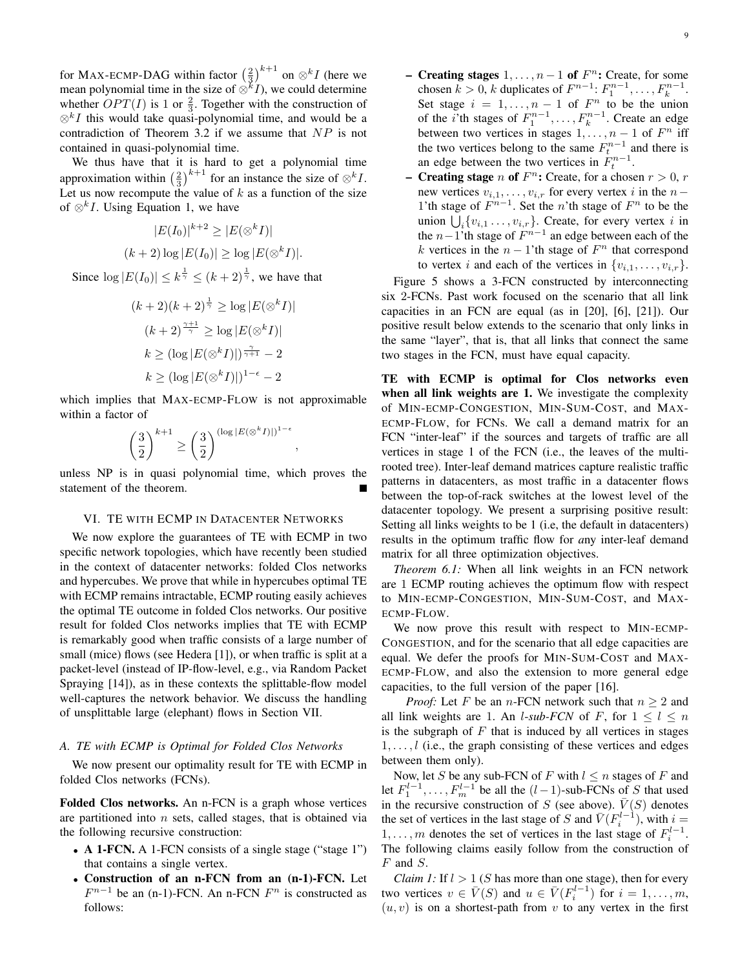for MAX-ECMP-DAG within factor  $\left(\frac{2}{3}\right)^{k+1}$  on  $\otimes^k I$  (here we mean polynomial time in the size of  $\otimes^k I$ ), we could determine whether  $OPT(I)$  is 1 or  $\frac{2}{3}$ . Together with the construction of  $\otimes^k I$  this would take quasi-polynomial time, and would be a contradiction of Theorem 3.2 if we assume that  $NP$  is not contained in quasi-polynomial time.

We thus have that it is hard to get a polynomial time approximation within  $\left(\frac{2}{3}\right)^{k+1}$  for an instance the size of  $\otimes^k I$ . Let us now recompute the value of  $k$  as a function of the size of  $\otimes^k I$ . Using Equation 1, we have

$$
|E(I_0)|^{k+2} \ge |E(\otimes^k I)|
$$
  

$$
(k+2) \log |E(I_0)| \ge \log |E(\otimes^k I)|.
$$

Since  $\log |E(I_0)| \leq k^{\frac{1}{\gamma}} \leq (k+2)^{\frac{1}{\gamma}}$ , we have that

$$
(k+2)(k+2)^{\frac{1}{\gamma}} \ge \log |E(\otimes^k I)|
$$

$$
(k+2)^{\frac{\gamma+1}{\gamma}} \ge \log |E(\otimes^k I)|
$$

$$
k \ge (\log |E(\otimes^k I)|)^{\frac{\gamma}{\gamma+1}} - 2
$$

$$
k \ge (\log |E(\otimes^k I)|)^{1-\epsilon} - 2
$$

which implies that MAX-ECMP-FLOW is not approximable within a factor of

$$
\left(\frac{3}{2}\right)^{k+1} \ge \left(\frac{3}{2}\right)^{(\log |E(\otimes^k I)|)^{1-\epsilon}}
$$

unless NP is in quasi polynomial time, which proves the statement of the theorem.

,

## VI. TE WITH ECMP IN DATACENTER NETWORKS

We now explore the guarantees of TE with ECMP in two specific network topologies, which have recently been studied in the context of datacenter networks: folded Clos networks and hypercubes. We prove that while in hypercubes optimal TE with ECMP remains intractable, ECMP routing easily achieves the optimal TE outcome in folded Clos networks. Our positive result for folded Clos networks implies that TE with ECMP is remarkably good when traffic consists of a large number of small (mice) flows (see Hedera [1]), or when traffic is split at a packet-level (instead of IP-flow-level, e.g., via Random Packet Spraying [14]), as in these contexts the splittable-flow model well-captures the network behavior. We discuss the handling of unsplittable large (elephant) flows in Section VII.

#### *A. TE with ECMP is Optimal for Folded Clos Networks*

We now present our optimality result for TE with ECMP in folded Clos networks (FCNs).

Folded Clos networks. An n-FCN is a graph whose vertices are partitioned into  $n$  sets, called stages, that is obtained via the following recursive construction:

- A 1-FCN. A 1-FCN consists of a single stage ("stage 1") that contains a single vertex.
- Construction of an n-FCN from an (n-1)-FCN. Let  $F^{n-1}$  be an (n-1)-FCN. An n-FCN  $F^n$  is constructed as follows:
- Creating stages  $1, \ldots, n-1$  of  $F^n$ : Create, for some chosen  $k > 0$ , k duplicates of  $F^{n-1}$ :  $F_1^{n-1}$ , ...,  $F_k^{n-1}$ . Set stage  $i = 1, ..., n - 1$  of  $F^n$  to be the union of the *i*'th stages of  $F_1^{n-1}, \ldots, F_k^{n-1}$ . Create an edge between two vertices in stages  $1, \ldots, n-1$  of  $F^n$  iff the two vertices belong to the same  $F_t^{n-1}$  and there is an edge between the two vertices in  $F_t^{n-1}$ .
- Creating stage *n* of  $F^n$ : Create, for a chosen  $r > 0$ , r new vertices  $v_{i,1}, \ldots, v_{i,r}$  for every vertex i in the  $n-$ 1'th stage of  $F^{n-1}$ . Set the n'th stage of  $F^n$  to be the union  $\bigcup_i \{v_{i,1} \ldots, v_{i,r}\}\)$ . Create, for every vertex i in the  $n-1$ 'th stage of  $F^{n-1}$  an edge between each of the the  $n-1$ 'th stage of  $F^{n-1}$  an edge between each of the k vertices in the  $n-1$ 'th stage of  $F<sup>n</sup>$  that correspond to vertex i and each of the vertices in  $\{v_{i,1}, \ldots, v_{i,r}\}.$

Figure 5 shows a 3-FCN constructed by interconnecting six 2-FCNs. Past work focused on the scenario that all link capacities in an FCN are equal (as in [20], [6], [21]). Our positive result below extends to the scenario that only links in the same "layer", that is, that all links that connect the same two stages in the FCN, must have equal capacity.

TE with ECMP is optimal for Clos networks even when all link weights are 1. We investigate the complexity of MIN-ECMP-CONGESTION, MIN-SUM-COST, and MAX-ECMP-FLOW, for FCNs. We call a demand matrix for an FCN "inter-leaf" if the sources and targets of traffic are all vertices in stage 1 of the FCN (i.e., the leaves of the multirooted tree). Inter-leaf demand matrices capture realistic traffic patterns in datacenters, as most traffic in a datacenter flows between the top-of-rack switches at the lowest level of the datacenter topology. We present a surprising positive result: Setting all links weights to be 1 (i.e, the default in datacenters) results in the optimum traffic flow for *a*ny inter-leaf demand matrix for all three optimization objectives.

*Theorem 6.1:* When all link weights in an FCN network are 1 ECMP routing achieves the optimum flow with respect to MIN-ECMP-CONGESTION, MIN-SUM-COST, and MAX-ECMP-FLOW.

We now prove this result with respect to MIN-ECMP-CONGESTION, and for the scenario that all edge capacities are equal. We defer the proofs for MIN-SUM-COST and MAX-ECMP-FLOW, and also the extension to more general edge capacities, to the full version of the paper [16].

*Proof:* Let F be an *n*-FCN network such that  $n > 2$  and all link weights are 1. An *l*-sub-FCN of F, for  $1 \leq l \leq n$ is the subgraph of  $F$  that is induced by all vertices in stages  $1, \ldots, l$  (i.e., the graph consisting of these vertices and edges between them only).

Now, let S be any sub-FCN of F with  $l \leq n$  stages of F and let  $F_1^{l-1}, \ldots, F_m^{l-1}$  be all the  $(l-1)$ -sub-FCNs of S that used in the recursive construction of S (see above).  $\overline{V}(S)$  denotes the set of vertices in the last stage of S and  $\bar{V}(F_i^{l-1})$ , with  $i =$ 1, ..., *m* denotes the set of vertices in the last stage of  $F_i^{l-1}$ . The following claims easily follow from the construction of F and S.

*Claim 1:* If  $l > 1$  (*S* has more than one stage), then for every two vertices  $v \in \overline{V}(S)$  and  $u \in \overline{V}(F_i^{l-1})$  for  $i = 1, ..., m$ ,  $(u, v)$  is on a shortest-path from v to any vertex in the first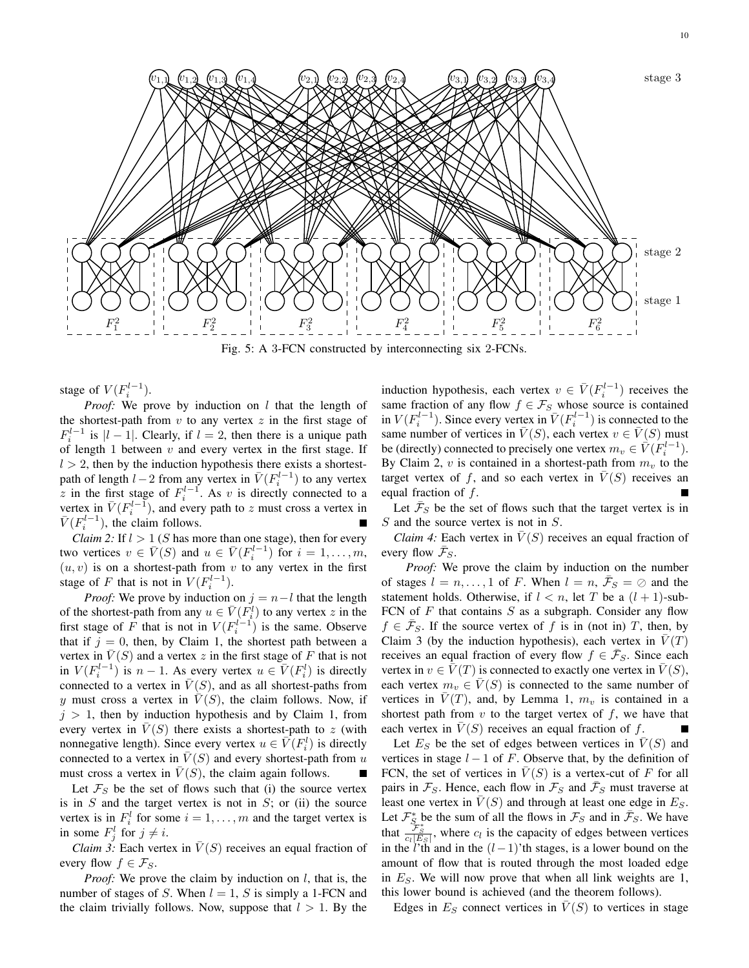

Fig. 5: A 3-FCN constructed by interconnecting six 2-FCNs.

stage of  $V(F_i^{l-1})$ .

*Proof:* We prove by induction on l that the length of the shortest-path from  $v$  to any vertex  $z$  in the first stage of  $F_i^{l-1}$  is  $|l-1|$ . Clearly, if  $l=2$ , then there is a unique path of length 1 between  $v$  and every vertex in the first stage. If  $l > 2$ , then by the induction hypothesis there exists a shortestpath of length  $l-2$  from any vertex in  $\bar{V}(F_i^{l-1})$  to any vertex z in the first stage of  $F_i^{l-1}$ . As v is directly connected to a vertex in  $\bar{V}(F_i^{l-1})$ , and every path to z must cross a vertex in  $\bar{V}(F_i^{l-1})$ , the claim follows.

*Claim 2:* If  $l > 1$  (*S* has more than one stage), then for every two vertices  $v \in \overline{V}(S)$  and  $u \in \overline{V}(F_i^{l-1})$  for  $i = 1, ..., m$ ,  $(u, v)$  is on a shortest-path from v to any vertex in the first stage of F that is not in  $V(F_i^{l-1})$ .

*Proof:* We prove by induction on  $j = n - l$  that the length of the shortest-path from any  $u \in \overline{V}(F_i^l)$  to any vertex z in the first stage of F that is not in  $V(F_i^{l-1})$  is the same. Observe that if  $j = 0$ , then, by Claim 1, the shortest path between a vertex in  $V(S)$  and a vertex z in the first stage of F that is not in  $V(F_i^{l-1})$  is  $n-1$ . As every vertex  $u \in V(F_i^l)$  is directly connected to a vertex in  $\overline{V}(S)$ , and as all shortest-paths from y must cross a vertex in  $\overline{V}(S)$ , the claim follows. Now, if  $j > 1$ , then by induction hypothesis and by Claim 1, from every vertex in  $V(S)$  there exists a shortest-path to z (with nonnegative length). Since every vertex  $u \in V(F_i^l)$  is directly connected to a vertex in  $\overline{V}(S)$  and every shortest-path from u must cross a vertex in  $\overline{V}(S)$ , the claim again follows.

Let  $\mathcal{F}_S$  be the set of flows such that (i) the source vertex is in  $S$  and the target vertex is not in  $S$ ; or (ii) the source vertex is in  $F_i^l$  for some  $i = 1, \dots, m$  and the target vertex is in some  $F_j^l$  for  $j \neq i$ .

*Claim 3:* Each vertex in  $\overline{V}(S)$  receives an equal fraction of every flow  $f \in \mathcal{F}_S$ .

*Proof:* We prove the claim by induction on *l*, that is, the number of stages of S. When  $l = 1$ , S is simply a 1-FCN and the claim trivially follows. Now, suppose that  $l > 1$ . By the

induction hypothesis, each vertex  $v \in \overline{V}(F_i^{l-1})$  receives the same fraction of any flow  $f \in \mathcal{F}_S$  whose source is contained in  $V(F_i^{l-1})$ . Since every vertex in  $\bar{V}(F_i^{l-1})$  is connected to the same number of vertices in  $\overline{V}(S)$ , each vertex  $v \in \overline{V}(S)$  must be (directly) connected to precisely one vertex  $m_v \in \vec{V}(F_i^{l-1})$ . By Claim 2,  $v$  is contained in a shortest-path from  $m_v$  to the target vertex of f, and so each vertex in  $\overline{V}(S)$  receives an equal fraction of  $f$ .

Let  $\bar{\mathcal{F}}_S$  be the set of flows such that the target vertex is in S and the source vertex is not in S.

*Claim 4:* Each vertex in  $\overline{V}(S)$  receives an equal fraction of every flow  $\bar{\mathcal{F}}_S$ .

*Proof:* We prove the claim by induction on the number of stages  $l = n, ..., 1$  of F. When  $l = n, \bar{\mathcal{F}}_S = \emptyset$  and the statement holds. Otherwise, if  $l < n$ , let T be a  $(l + 1)$ -sub-FCN of  $F$  that contains  $S$  as a subgraph. Consider any flow  $f \in \bar{\mathcal{F}}_S$ . If the source vertex of f is in (not in) T, then, by Claim 3 (by the induction hypothesis), each vertex in  $\overline{V}(T)$ receives an equal fraction of every flow  $f \in \bar{\mathcal{F}}_S$ . Since each vertex in  $v \in V(T)$  is connected to exactly one vertex in  $V(S)$ , each vertex  $m_v \in \overline{V}(S)$  is connected to the same number of vertices in  $\bar{V}(T)$ , and, by Lemma 1,  $m_v$  is contained in a shortest path from  $v$  to the target vertex of  $f$ , we have that each vertex in  $V(S)$  receives an equal fraction of f.

Let  $E<sub>S</sub>$  be the set of edges between vertices in  $\overline{V}(S)$  and vertices in stage  $l - 1$  of F. Observe that, by the definition of FCN, the set of vertices in  $\overline{V}(S)$  is a vertex-cut of F for all pairs in  $\mathcal{F}_S$ . Hence, each flow in  $\mathcal{F}_S$  and  $\bar{\mathcal{F}}_S$  must traverse at least one vertex in  $V(S)$  and through at least one edge in  $E_S$ . Let  $\mathcal{F}_{S_{\!T^*}}^*$  be the sum of all the flows in  $\mathcal{F}_S$  and in  $\bar{\mathcal{F}}_S$ . We have that  $\frac{\mathcal{F}_s}{c_l[E_S]}$ , where  $c_l$  is the capacity of edges between vertices in the *l*'th and in the  $(l-1)$ 'th stages, is a lower bound on the amount of flow that is routed through the most loaded edge in  $E<sub>S</sub>$ . We will now prove that when all link weights are 1, this lower bound is achieved (and the theorem follows).

Edges in  $E<sub>S</sub>$  connect vertices in  $\overline{V}(S)$  to vertices in stage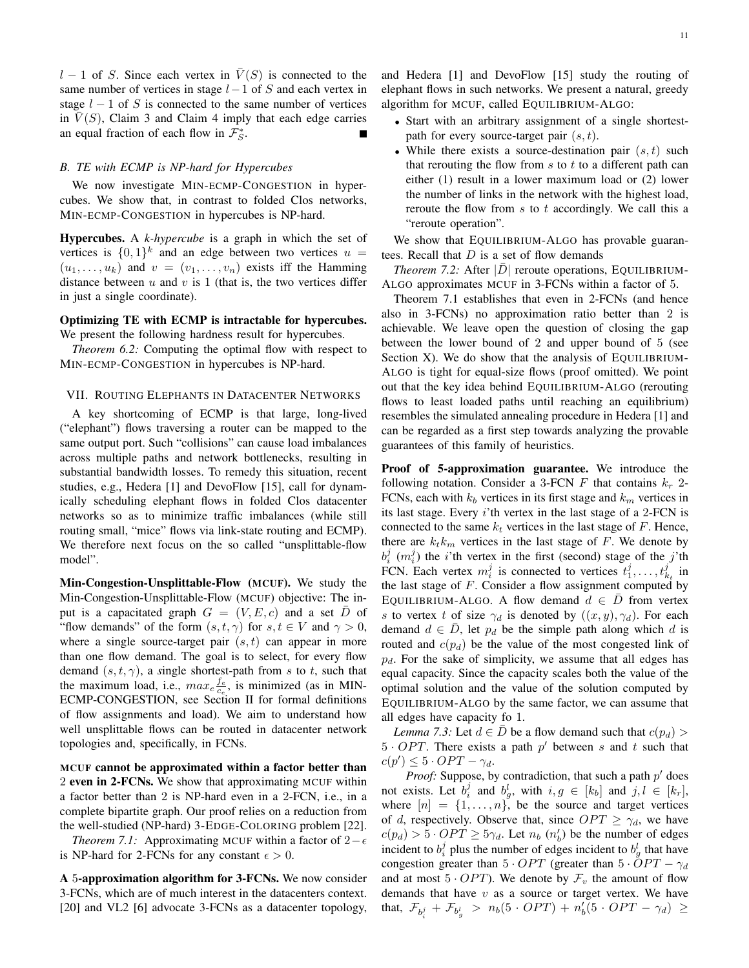$l - 1$  of S. Since each vertex in  $\overline{V}(S)$  is connected to the same number of vertices in stage  $l-1$  of S and each vertex in stage  $l - 1$  of S is connected to the same number of vertices in  $\overline{V}(S)$ , Claim 3 and Claim 4 imply that each edge carries an equal fraction of each flow in  $\mathcal{F}_{S}^{*}$ .

## *B. TE with ECMP is NP-hard for Hypercubes*

We now investigate MIN-ECMP-CONGESTION in hypercubes. We show that, in contrast to folded Clos networks, MIN-ECMP-CONGESTION in hypercubes is NP-hard.

Hypercubes. A *k-hypercube* is a graph in which the set of vertices is  $\{0,1\}^k$  and an edge between two vertices  $u =$  $(u_1, \ldots, u_k)$  and  $v = (v_1, \ldots, v_n)$  exists iff the Hamming distance between  $u$  and  $v$  is 1 (that is, the two vertices differ in just a single coordinate).

# Optimizing TE with ECMP is intractable for hypercubes. We present the following hardness result for hypercubes.

*Theorem 6.2:* Computing the optimal flow with respect to MIN-ECMP-CONGESTION in hypercubes is NP-hard.

## VII. ROUTING ELEPHANTS IN DATACENTER NETWORKS

A key shortcoming of ECMP is that large, long-lived ("elephant") flows traversing a router can be mapped to the same output port. Such "collisions" can cause load imbalances across multiple paths and network bottlenecks, resulting in substantial bandwidth losses. To remedy this situation, recent studies, e.g., Hedera [1] and DevoFlow [15], call for dynamically scheduling elephant flows in folded Clos datacenter networks so as to minimize traffic imbalances (while still routing small, "mice" flows via link-state routing and ECMP). We therefore next focus on the so called "unsplittable-flow model".

Min-Congestion-Unsplittable-Flow (MCUF). We study the Min-Congestion-Unsplittable-Flow (MCUF) objective: The input is a capacitated graph  $G = (V, E, c)$  and a set  $\overline{D}$  of "flow demands" of the form  $(s, t, \gamma)$  for  $s, t \in V$  and  $\gamma > 0$ , where a single source-target pair  $(s, t)$  can appear in more than one flow demand. The goal is to select, for every flow demand  $(s, t, \gamma)$ , a single shortest-path from s to t, such that the maximum load, i.e.,  $max_e \frac{f_e}{c_e}$ , is minimized (as in MIN-ECMP-CONGESTION, see Section II for formal definitions of flow assignments and load). We aim to understand how well unsplittable flows can be routed in datacenter network topologies and, specifically, in FCNs.

MCUF cannot be approximated within a factor better than 2 even in 2-FCNs. We show that approximating MCUF within a factor better than 2 is NP-hard even in a 2-FCN, i.e., in a complete bipartite graph. Our proof relies on a reduction from the well-studied (NP-hard) 3-EDGE-COLORING problem [22].

*Theorem 7.1:* Approximating MCUF within a factor of  $2 - \epsilon$ is NP-hard for 2-FCNs for any constant  $\epsilon > 0$ .

A 5-approximation algorithm for 3-FCNs. We now consider 3-FCNs, which are of much interest in the datacenters context. [20] and VL2 [6] advocate 3-FCNs as a datacenter topology, and Hedera [1] and DevoFlow [15] study the routing of elephant flows in such networks. We present a natural, greedy algorithm for MCUF, called EQUILIBRIUM-ALGO:

- Start with an arbitrary assignment of a single shortestpath for every source-target pair  $(s, t)$ .
- While there exists a source-destination pair  $(s, t)$  such that rerouting the flow from  $s$  to  $t$  to a different path can either (1) result in a lower maximum load or (2) lower the number of links in the network with the highest load, reroute the flow from  $s$  to  $t$  accordingly. We call this a "reroute operation".

We show that EQUILIBRIUM-ALGO has provable guarantees. Recall that  $D$  is a set of flow demands

*Theorem 7.2:* After  $|\overline{D}|$  reroute operations, EQUILIBRIUM-ALGO approximates MCUF in 3-FCNs within a factor of 5.

Theorem 7.1 establishes that even in 2-FCNs (and hence also in 3-FCNs) no approximation ratio better than 2 is achievable. We leave open the question of closing the gap between the lower bound of 2 and upper bound of 5 (see Section X). We do show that the analysis of EQUILIBRIUM-ALGO is tight for equal-size flows (proof omitted). We point out that the key idea behind EQUILIBRIUM-ALGO (rerouting flows to least loaded paths until reaching an equilibrium) resembles the simulated annealing procedure in Hedera [1] and can be regarded as a first step towards analyzing the provable guarantees of this family of heuristics.

Proof of 5-approximation guarantee. We introduce the following notation. Consider a 3-FCN  $F$  that contains  $k_r$  2-FCNs, each with  $k_b$  vertices in its first stage and  $k_m$  vertices in its last stage. Every i'th vertex in the last stage of a 2-FCN is connected to the same  $k_t$  vertices in the last stage of F. Hence, there are  $k_t k_m$  vertices in the last stage of F. We denote by  $b_i^j$  ( $m_i^j$ ) the *i*'th vertex in the first (second) stage of the *j*'th FCN. Each vertex  $m_i^j$  is connected to vertices  $t_1^j, \ldots, t_{k_t}^j$  in the last stage of  $F$ . Consider a flow assignment computed by EQUILIBRIUM-ALGO. A flow demand  $d \in \overline{D}$  from vertex s to vertex t of size  $\gamma_d$  is denoted by  $((x, y), \gamma_d)$ . For each demand  $d \in D$ , let  $p_d$  be the simple path along which d is routed and  $c(p_d)$  be the value of the most congested link of  $p_d$ . For the sake of simplicity, we assume that all edges has equal capacity. Since the capacity scales both the value of the optimal solution and the value of the solution computed by EQUILIBRIUM-ALGO by the same factor, we can assume that all edges have capacity fo 1.

*Lemma 7.3:* Let  $d \in \overline{D}$  be a flow demand such that  $c(p_d)$  $5 \cdot OPT$ . There exists a path p' between s and t such that  $c(p') \leq 5 \cdot OPT - \gamma_d.$ 

*Proof:* Suppose, by contradiction, that such a path  $p'$  does not exists. Let  $b_i^j$  and  $b_g^l$ , with  $i, g \in [k_b]$  and  $j, l \in [k_r]$ , where  $[n] = \{1, \ldots, n\}$ , be the source and target vertices of d, respectively. Observe that, since  $OPT \ge \gamma_d$ , we have  $c(p_d) > 5 \cdot OPT \ge 5\gamma_d$ . Let  $n_b$   $(n'_b)$  be the number of edges incident to  $b_i^j$  plus the number of edges incident to  $b_g^l$  that have congestion greater than  $5 \cdot OPT$  (greater than  $5 \cdot OPT - \gamma_d$ and at most  $5 \cdot OPT$ ). We denote by  $\mathcal{F}_v$  the amount of flow demands that have  $v$  as a source or target vertex. We have that,  $\mathcal{F}_{b_i^j} + \mathcal{F}_{b_g^l} > n_b(5 \cdot OPT) + n_b'(5 \cdot OPT - \gamma_d) \geq$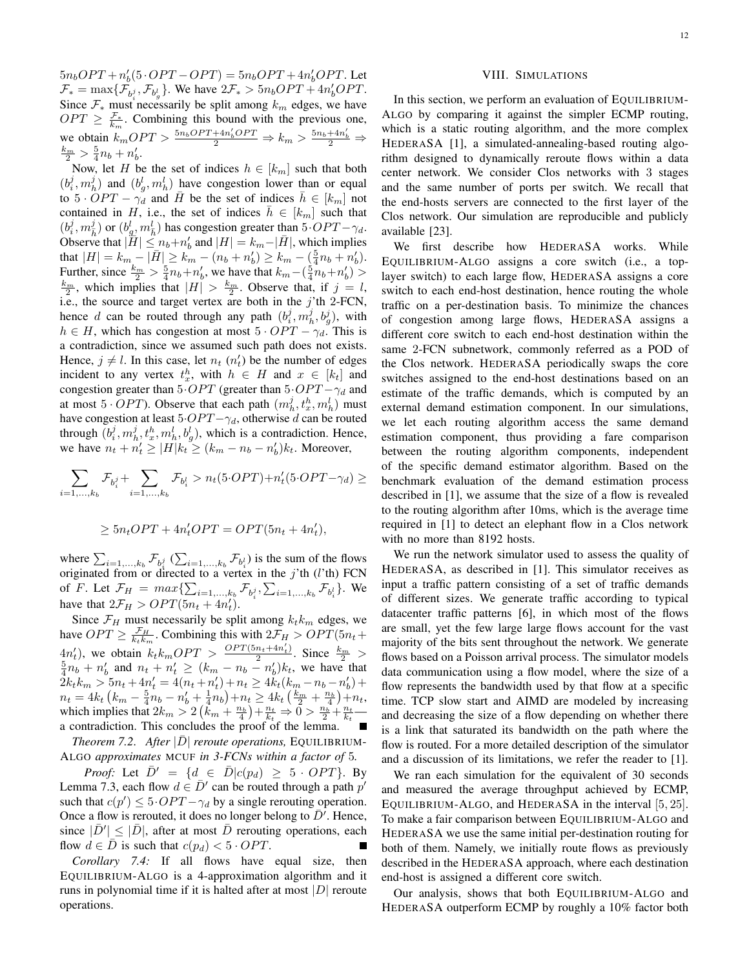$5n_bOPT + n'_b(5 \cdot OPT - OPT) = 5n_bOPT + 4n'_bOPT$ . Let  $\mathcal{F}_* = \max\{\mathcal{F}_{b_i^j}, \mathcal{F}_{b_g^l}\}.$  We have  $2\mathcal{F}_* > 5n_bOPT + 4n_b'OPT$ . Since  $\mathcal{F}_*$  must necessarily be split among  $k_m$  edges, we have  $OPT \geq \frac{f_{*}}{k_m}$ . Combining this bound with the previous one, we obtain  $k_mOPT > \frac{5n_bOPT+4n'_bOPT}{2} \Rightarrow k_m > \frac{5n_b+4n'_b}{2} \Rightarrow$  $\frac{k_m}{2} > \frac{5}{4}n_b + n'_b.$ 

Now, let H be the set of indices  $h \in [k_m]$  such that both  $(b_i^j, m_h^j)$  and  $(b_g^j, m_h^l)$  have congestion lower than or equal to  $5 \cdot OPT - \gamma_d$  and  $\overline{H}$  be the set of indices  $h \in [k_m]$  not contained in H, i.e., the set of indices  $\bar{h} \in [k_m]$  such that  $(b_i^j, m_{\overline{h}}^j)$  or  $(b_{g_1}^l, m_{\overline{h}}^l)$  has congestion greater than 5  $OPT - \gamma_d$ . Observe that  $|\tilde{H}| \leq n_b+n'_b$  and  $|H| = k_m-|\bar{H}|$ , which implies that  $|H| = k_m - |\bar{H}| \geq k_m - (n_b + n'_b) \geq k_m - \left(\frac{5}{4}n_b + n'_b\right)$ . Further, since  $\frac{k_m}{2} > \frac{5}{4}n_b+n'_b$ , we have that  $k_m-(\frac{5}{4}n_b+n'_b) >$  $\frac{k_m}{2}$ , which implies that  $|H| > \frac{k_m}{2}$ . Observe that, if  $j = l$ , i.e., the source and target vertex are both in the  $j'$ th 2-FCN, hence d can be routed through any path  $(b_i^j, m_h^j, b_g^j)$ , with  $h \in H$ , which has congestion at most  $5 \cdot OPT - \gamma_d$ . This is a contradiction, since we assumed such path does not exists. Hence,  $j \neq l$ . In this case, let  $n_t$  ( $n'_t$ ) be the number of edges incident to any vertex  $t_x^h$ , with  $h \in H$  and  $x \in [k_t]$  and congestion greater than  $5·OPT$  (greater than  $5·OPT - \gamma_d$  and at most  $5 \cdot OPT$ ). Observe that each path  $(m_h^j, t_x^h, m_h^l)$  must have congestion at least  $5·OPT - \gamma_d$ , otherwise d can be routed through  $(b_i^j, m_h^j, t_x^h, m_h^l, b_g^l)$ , which is a contradiction. Hence, we have  $n_t + n'_t \ge |H| k_t \ge (k_m - n_b - n'_b) k_t$ . Moreover,

$$
\sum_{i=1,...,k_b} \mathcal{F}_{b_i^j} + \sum_{i=1,...,k_b} \mathcal{F}_{b_i^l} > n_t(5\cdot OPT) + n_t'(5\cdot OPT - \gamma_d) \ge
$$

$$
\geq 5n_t OPT + 4n'_t OPT = OPT(5n_t + 4n'_t),
$$

where  $\sum_{i=1,\dots,k_b} \mathcal{F}_{b_i^j}$   $(\sum_{i=1,\dots,k_b} \mathcal{F}_{b_i^j})$  is the sum of the flows originated from or directed to a vertex in the  $j'$ th (l'th) FCN of *F*. Let  $\mathcal{F}_H = max \{ \sum_{i=1,...,k_b} \mathcal{F}_{b_i^j}, \sum_{i=1,...,k_b} \mathcal{F}_{b_i^l} \}$ . We have that  $2\mathcal{F}_H > OPT(5n_t + 4n'_t)$ .

Since  $\mathcal{F}_H$  must necessarily be split among  $k_t k_m$  edges, we have  $OPT \geq \frac{F_H}{k_t k_m}$ . Combining this with  $2F_H > OPT(5n_t +$  $k_t k_m$  $4n'_t$ , we obtain  $k_t k_m OPT > \frac{OPT(5n_t+4n'_t)}{2}$  $\frac{4n'_t}{\lambda}$ , we obtain  $k_t k_m OPT > \frac{OPT(5n_t+4n'_t)}{2}$ . Since  $\frac{k_m}{2} > \frac{5}{4}n_b + n'_b$  and  $n_t + n'_t \ge (k_m - n_b - n'_b)k_t$ , we have that  $2k_t k_m > 5n_t + 4n'_t = 4(n_t + n'_t) + n_t \ge 4k_t(k_m - n_b - n'_b) +$  $n_t = 4k_t \left(k_m - \frac{5}{4}n_b - n'_b + \frac{1}{4}n_b\right) + n_t \ge 4k_t \left(\frac{k_m}{2} + \frac{n_b}{4}\right) + n_t,$ which implies that  $2k_m > 2\left(k_m + \frac{n_b}{4}\right) + \frac{n_t}{k_t} \Rightarrow 0 > \frac{n_b}{2} + \frac{n_t}{k_t}$ a contradiction. This concludes the proof of the lemma.

*Theorem 7.2. After*  $|\overline{D}|$  *reroute operations,* EQUILIBRIUM-ALGO *approximates* MCUF *in 3-FCNs within a factor of* 5*.*

*Proof:* Let  $\overline{D}' = \{d \in \overline{D}|c(p_d) \geq 5 \cdot OPT\}$ . By Lemma 7.3, each flow  $d \in \overline{D}'$  can be routed through a path  $p'$ such that  $c(p') \le 5 \cdot OPT - \gamma_d$  by a single rerouting operation. Once a flow is rerouted, it does no longer belong to  $\bar{D}$ . Hence, since  $|\bar{D}'| \leq |\bar{D}|$ , after at most  $\bar{D}$  rerouting operations, each flow  $d \in D$  is such that  $c(p_d) < 5 \cdot OPT$ .

*Corollary 7.4:* If all flows have equal size, then EQUILIBRIUM-ALGO is a 4-approximation algorithm and it runs in polynomial time if it is halted after at most  $|D|$  reroute operations.

## VIII. SIMULATIONS

In this section, we perform an evaluation of EQUILIBRIUM-ALGO by comparing it against the simpler ECMP routing, which is a static routing algorithm, and the more complex HEDERASA [1], a simulated-annealing-based routing algorithm designed to dynamically reroute flows within a data center network. We consider Clos networks with 3 stages and the same number of ports per switch. We recall that the end-hosts servers are connected to the first layer of the Clos network. Our simulation are reproducible and publicly available [23].

We first describe how HEDERASA works. While EQUILIBRIUM-ALGO assigns a core switch (i.e., a toplayer switch) to each large flow, HEDERASA assigns a core switch to each end-host destination, hence routing the whole traffic on a per-destination basis. To minimize the chances of congestion among large flows, HEDERASA assigns a different core switch to each end-host destination within the same 2-FCN subnetwork, commonly referred as a POD of the Clos network. HEDERASA periodically swaps the core switches assigned to the end-host destinations based on an estimate of the traffic demands, which is computed by an external demand estimation component. In our simulations, we let each routing algorithm access the same demand estimation component, thus providing a fare comparison between the routing algorithm components, independent of the specific demand estimator algorithm. Based on the benchmark evaluation of the demand estimation process described in [1], we assume that the size of a flow is revealed to the routing algorithm after 10ms, which is the average time required in [1] to detect an elephant flow in a Clos network with no more than 8192 hosts.

We run the network simulator used to assess the quality of HEDERASA, as described in [1]. This simulator receives as input a traffic pattern consisting of a set of traffic demands of different sizes. We generate traffic according to typical datacenter traffic patterns [6], in which most of the flows are small, yet the few large large flows account for the vast majority of the bits sent throughout the network. We generate flows based on a Poisson arrival process. The simulator models data communication using a flow model, where the size of a flow represents the bandwidth used by that flow at a specific time. TCP slow start and AIMD are modeled by increasing and decreasing the size of a flow depending on whether there is a link that saturated its bandwidth on the path where the flow is routed. For a more detailed description of the simulator and a discussion of its limitations, we refer the reader to [1].

We ran each simulation for the equivalent of 30 seconds and measured the average throughput achieved by ECMP, EQUILIBRIUM-ALGO, and HEDERASA in the interval [5, 25]. To make a fair comparison between EQUILIBRIUM-ALGO and HEDERASA we use the same initial per-destination routing for both of them. Namely, we initially route flows as previously described in the HEDERASA approach, where each destination end-host is assigned a different core switch.

Our analysis, shows that both EQUILIBRIUM-ALGO and HEDERASA outperform ECMP by roughly a 10% factor both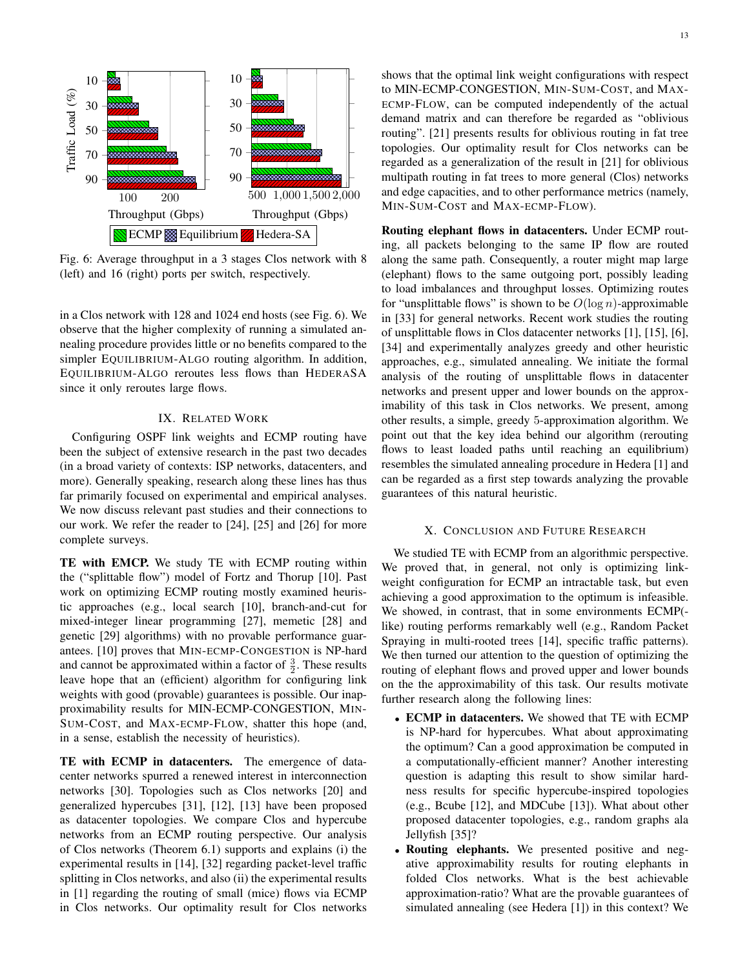

Fig. 6: Average throughput in a 3 stages Clos network with 8 (left) and 16 (right) ports per switch, respectively.

in a Clos network with 128 and 1024 end hosts (see Fig. 6). We observe that the higher complexity of running a simulated annealing procedure provides little or no benefits compared to the simpler EQUILIBRIUM-ALGO routing algorithm. In addition, EQUILIBRIUM-ALGO reroutes less flows than HEDERASA since it only reroutes large flows.

# IX. RELATED WORK

Configuring OSPF link weights and ECMP routing have been the subject of extensive research in the past two decades (in a broad variety of contexts: ISP networks, datacenters, and more). Generally speaking, research along these lines has thus far primarily focused on experimental and empirical analyses. We now discuss relevant past studies and their connections to our work. We refer the reader to [24], [25] and [26] for more complete surveys.

TE with EMCP. We study TE with ECMP routing within the ("splittable flow") model of Fortz and Thorup [10]. Past work on optimizing ECMP routing mostly examined heuristic approaches (e.g., local search [10], branch-and-cut for mixed-integer linear programming [27], memetic [28] and genetic [29] algorithms) with no provable performance guarantees. [10] proves that MIN-ECMP-CONGESTION is NP-hard and cannot be approximated within a factor of  $\frac{3}{2}$ . These results leave hope that an (efficient) algorithm for configuring link weights with good (provable) guarantees is possible. Our inapproximability results for MIN-ECMP-CONGESTION, MIN-SUM-COST, and MAX-ECMP-FLOW, shatter this hope (and, in a sense, establish the necessity of heuristics).

TE with ECMP in datacenters. The emergence of datacenter networks spurred a renewed interest in interconnection networks [30]. Topologies such as Clos networks [20] and generalized hypercubes [31], [12], [13] have been proposed as datacenter topologies. We compare Clos and hypercube networks from an ECMP routing perspective. Our analysis of Clos networks (Theorem 6.1) supports and explains (i) the experimental results in [14], [32] regarding packet-level traffic splitting in Clos networks, and also (ii) the experimental results in [1] regarding the routing of small (mice) flows via ECMP in Clos networks. Our optimality result for Clos networks shows that the optimal link weight configurations with respect to MIN-ECMP-CONGESTION, MIN-SUM-COST, and MAX-ECMP-FLOW, can be computed independently of the actual demand matrix and can therefore be regarded as "oblivious routing". [21] presents results for oblivious routing in fat tree topologies. Our optimality result for Clos networks can be regarded as a generalization of the result in [21] for oblivious multipath routing in fat trees to more general (Clos) networks and edge capacities, and to other performance metrics (namely, MIN-SUM-COST and MAX-ECMP-FLOW).

Routing elephant flows in datacenters. Under ECMP routing, all packets belonging to the same IP flow are routed along the same path. Consequently, a router might map large (elephant) flows to the same outgoing port, possibly leading to load imbalances and throughput losses. Optimizing routes for "unsplittable flows" is shown to be  $O(\log n)$ -approximable in [33] for general networks. Recent work studies the routing of unsplittable flows in Clos datacenter networks [1], [15], [6], [34] and experimentally analyzes greedy and other heuristic approaches, e.g., simulated annealing. We initiate the formal analysis of the routing of unsplittable flows in datacenter networks and present upper and lower bounds on the approximability of this task in Clos networks. We present, among other results, a simple, greedy 5-approximation algorithm. We point out that the key idea behind our algorithm (rerouting flows to least loaded paths until reaching an equilibrium) resembles the simulated annealing procedure in Hedera [1] and can be regarded as a first step towards analyzing the provable guarantees of this natural heuristic.

# X. CONCLUSION AND FUTURE RESEARCH

We studied TE with ECMP from an algorithmic perspective. We proved that, in general, not only is optimizing linkweight configuration for ECMP an intractable task, but even achieving a good approximation to the optimum is infeasible. We showed, in contrast, that in some environments ECMP( like) routing performs remarkably well (e.g., Random Packet Spraying in multi-rooted trees [14], specific traffic patterns). We then turned our attention to the question of optimizing the routing of elephant flows and proved upper and lower bounds on the the approximability of this task. Our results motivate further research along the following lines:

- ECMP in datacenters. We showed that TE with ECMP is NP-hard for hypercubes. What about approximating the optimum? Can a good approximation be computed in a computationally-efficient manner? Another interesting question is adapting this result to show similar hardness results for specific hypercube-inspired topologies (e.g., Bcube [12], and MDCube [13]). What about other proposed datacenter topologies, e.g., random graphs ala Jellyfish [35]?
- Routing elephants. We presented positive and negative approximability results for routing elephants in folded Clos networks. What is the best achievable approximation-ratio? What are the provable guarantees of simulated annealing (see Hedera [1]) in this context? We